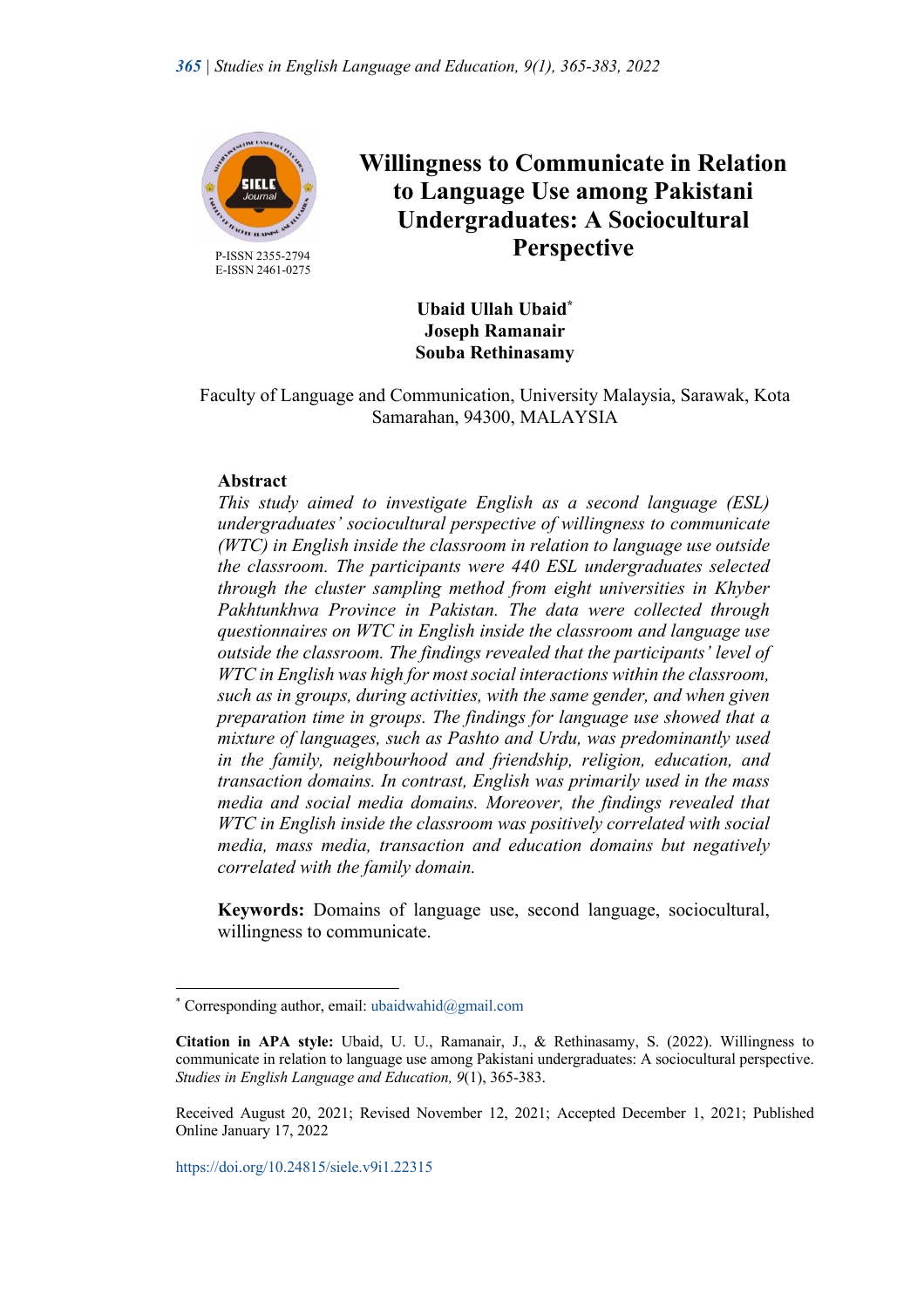

E-ISSN 2461-0275

# **Willingness to Communicate in Relation to Language Use among Pakistani Undergraduates: A Sociocultural Perspective**

**Ubaid Ullah Ubaid\* Joseph Ramanair Souba Rethinasamy**

Faculty of Language and Communication, University Malaysia, Sarawak, Kota Samarahan, 94300, MALAYSIA

# **Abstract**

*This study aimed to investigate English as a second language (ESL) undergraduates' sociocultural perspective of willingness to communicate (WTC) in English inside the classroom in relation to language use outside the classroom. The participants were 440 ESL undergraduates selected through the cluster sampling method from eight universities in Khyber Pakhtunkhwa Province in Pakistan. The data were collected through questionnaires on WTC in English inside the classroom and language use outside the classroom. The findings revealed that the participants' level of WTC in English was high for most social interactions within the classroom, such as in groups, during activities, with the same gender, and when given preparation time in groups. The findings for language use showed that a mixture of languages, such as Pashto and Urdu, was predominantly used in the family, neighbourhood and friendship, religion, education, and transaction domains. In contrast, English was primarily used in the mass media and social media domains. Moreover, the findings revealed that WTC in English inside the classroom was positively correlated with social media, mass media, transaction and education domains but negatively correlated with the family domain.*

**Keywords:** Domains of language use, second language, sociocultural, willingness to communicate.

<sup>\*</sup> Corresponding author, email: ubaidwahid@gmail.com

**Citation in APA style:** Ubaid, U. U., Ramanair, J., & Rethinasamy, S. (2022). Willingness to communicate in relation to language use among Pakistani undergraduates: A sociocultural perspective. *Studies in English Language and Education, 9*(1), 365-383.

Received August 20, 2021; Revised November 12, 2021; Accepted December 1, 2021; Published Online January 17, 2022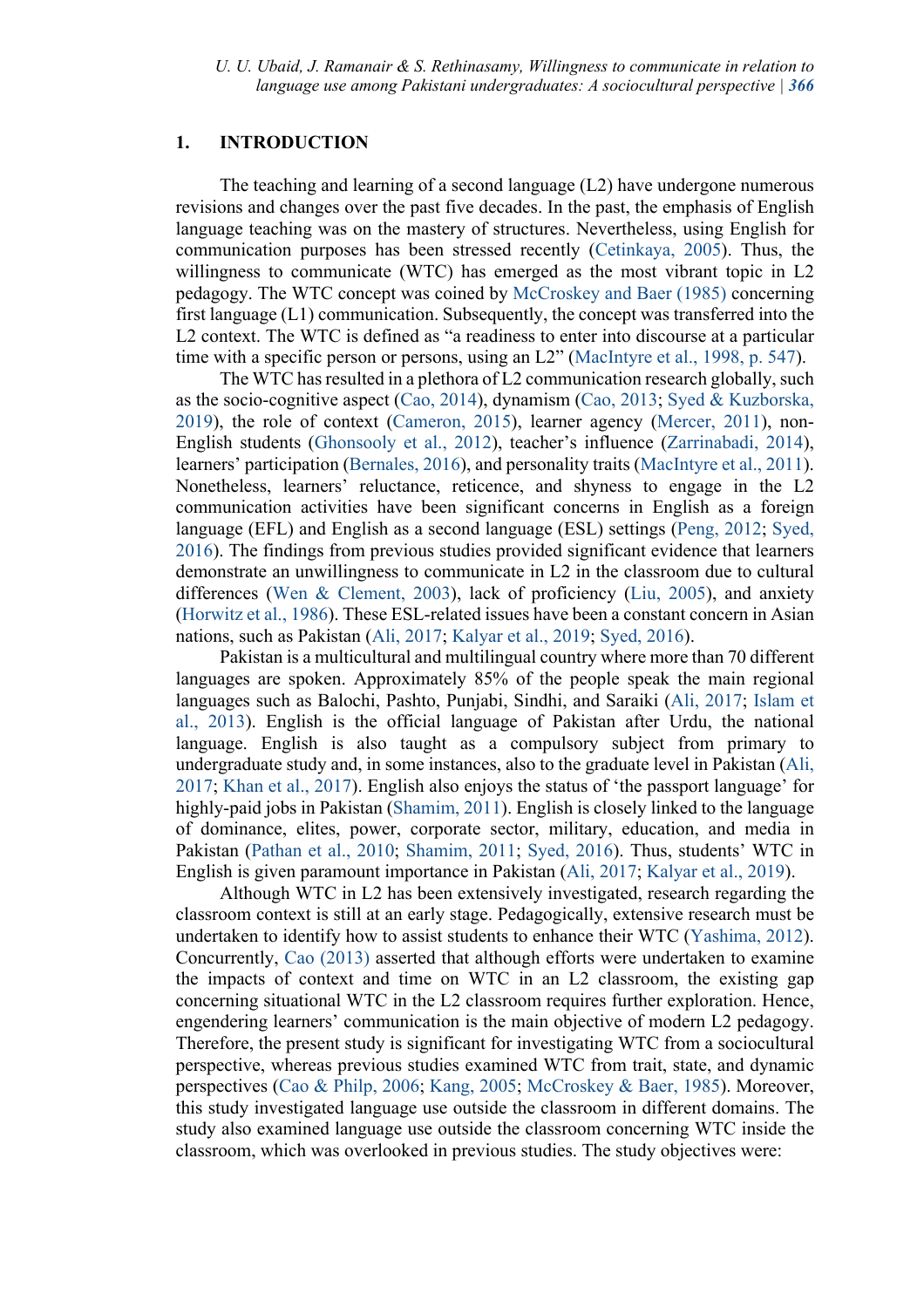## **1. INTRODUCTION**

The teaching and learning of a second language (L2) have undergone numerous revisions and changes over the past five decades. In the past, the emphasis of English language teaching was on the mastery of structures. Nevertheless, using English for communication purposes has been stressed recently (Cetinkaya, 2005). Thus, the willingness to communicate (WTC) has emerged as the most vibrant topic in L2 pedagogy. The WTC concept was coined by McCroskey and Baer (1985) concerning first language (L1) communication. Subsequently, the concept was transferred into the L2 context. The WTC is defined as "a readiness to enter into discourse at a particular time with a specific person or persons, using an L2" (MacIntyre et al., 1998, p. 547).

The WTC has resulted in a plethora of L2 communication research globally, such as the socio-cognitive aspect (Cao, 2014), dynamism (Cao, 2013; Syed & Kuzborska, 2019), the role of context (Cameron, 2015), learner agency (Mercer, 2011), non-English students (Ghonsooly et al., 2012), teacher's influence (Zarrinabadi, 2014), learners' participation (Bernales, 2016), and personality traits (MacIntyre et al., 2011). Nonetheless, learners' reluctance, reticence, and shyness to engage in the L2 communication activities have been significant concerns in English as a foreign language (EFL) and English as a second language (ESL) settings (Peng, 2012; Syed, 2016). The findings from previous studies provided significant evidence that learners demonstrate an unwillingness to communicate in L2 in the classroom due to cultural differences (Wen & Clement, 2003), lack of proficiency (Liu, 2005), and anxiety (Horwitz et al., 1986). These ESL-related issues have been a constant concern in Asian nations, such as Pakistan (Ali, 2017; Kalyar et al., 2019; Syed, 2016).

Pakistan is a multicultural and multilingual country where more than 70 different languages are spoken. Approximately 85% of the people speak the main regional languages such as Balochi, Pashto, Punjabi, Sindhi, and Saraiki (Ali, 2017; Islam et al., 2013). English is the official language of Pakistan after Urdu, the national language. English is also taught as a compulsory subject from primary to undergraduate study and, in some instances, also to the graduate level in Pakistan (Ali, 2017; Khan et al., 2017). English also enjoys the status of 'the passport language' for highly-paid jobs in Pakistan (Shamim, 2011). English is closely linked to the language of dominance, elites, power, corporate sector, military, education, and media in Pakistan (Pathan et al., 2010; Shamim, 2011; Syed, 2016). Thus, students' WTC in English is given paramount importance in Pakistan (Ali, 2017; Kalyar et al., 2019).

Although WTC in L2 has been extensively investigated, research regarding the classroom context is still at an early stage. Pedagogically, extensive research must be undertaken to identify how to assist students to enhance their WTC (Yashima, 2012). Concurrently, Cao (2013) asserted that although efforts were undertaken to examine the impacts of context and time on WTC in an L2 classroom, the existing gap concerning situational WTC in the L2 classroom requires further exploration. Hence, engendering learners' communication is the main objective of modern L2 pedagogy. Therefore, the present study is significant for investigating WTC from a sociocultural perspective, whereas previous studies examined WTC from trait, state, and dynamic perspectives (Cao & Philp, 2006; Kang, 2005; McCroskey & Baer, 1985). Moreover, this study investigated language use outside the classroom in different domains. The study also examined language use outside the classroom concerning WTC inside the classroom, which was overlooked in previous studies. The study objectives were: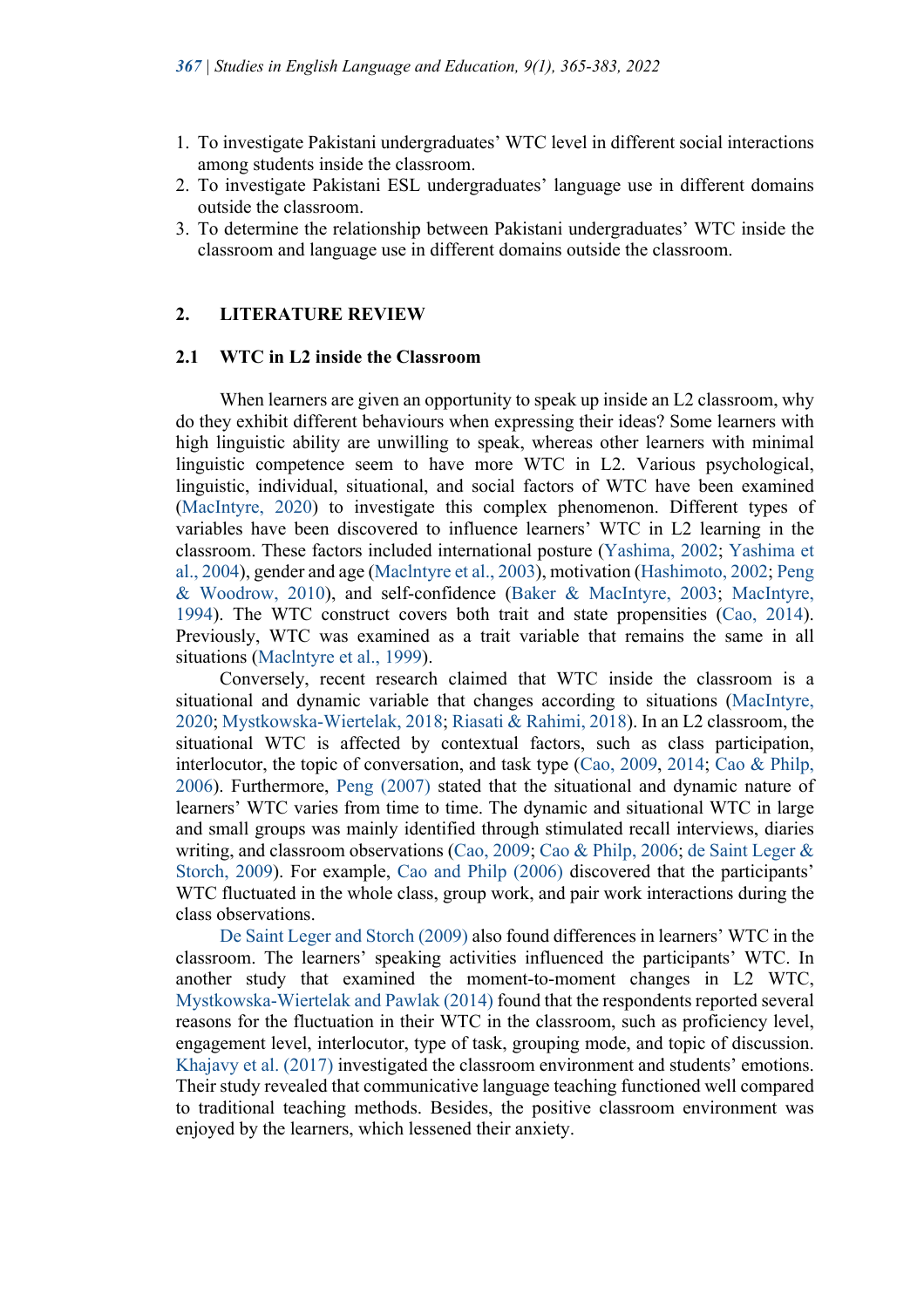- 1. To investigate Pakistani undergraduates' WTC level in different social interactions among students inside the classroom.
- 2. To investigate Pakistani ESL undergraduates' language use in different domains outside the classroom.
- 3. To determine the relationship between Pakistani undergraduates' WTC inside the classroom and language use in different domains outside the classroom.

## **2. LITERATURE REVIEW**

## **2.1 WTC in L2 inside the Classroom**

When learners are given an opportunity to speak up inside an L2 classroom, why do they exhibit different behaviours when expressing their ideas? Some learners with high linguistic ability are unwilling to speak, whereas other learners with minimal linguistic competence seem to have more WTC in L2. Various psychological, linguistic, individual, situational, and social factors of WTC have been examined (MacIntyre, 2020) to investigate this complex phenomenon. Different types of variables have been discovered to influence learners' WTC in L2 learning in the classroom. These factors included international posture (Yashima, 2002; Yashima et al., 2004), gender and age (Maclntyre et al., 2003), motivation (Hashimoto, 2002; Peng & Woodrow, 2010), and self-confidence (Baker & MacIntyre, 2003; MacIntyre, 1994). The WTC construct covers both trait and state propensities (Cao, 2014). Previously, WTC was examined as a trait variable that remains the same in all situations (Maclntyre et al., 1999).

Conversely, recent research claimed that WTC inside the classroom is a situational and dynamic variable that changes according to situations (MacIntyre, 2020; Mystkowska-Wiertelak, 2018; Riasati & Rahimi, 2018). In an L2 classroom, the situational WTC is affected by contextual factors, such as class participation, interlocutor, the topic of conversation, and task type (Cao, 2009, 2014; Cao & Philp, 2006). Furthermore, Peng (2007) stated that the situational and dynamic nature of learners' WTC varies from time to time. The dynamic and situational WTC in large and small groups was mainly identified through stimulated recall interviews, diaries writing, and classroom observations (Cao, 2009; Cao & Philp, 2006; de Saint Leger & Storch, 2009). For example, Cao and Philp (2006) discovered that the participants' WTC fluctuated in the whole class, group work, and pair work interactions during the class observations.

De Saint Leger and Storch (2009) also found differences in learners' WTC in the classroom. The learners' speaking activities influenced the participants' WTC. In another study that examined the moment-to-moment changes in L2 WTC, Mystkowska-Wiertelak and Pawlak (2014) found that the respondents reported several reasons for the fluctuation in their WTC in the classroom, such as proficiency level, engagement level, interlocutor, type of task, grouping mode, and topic of discussion. Khajavy et al. (2017) investigated the classroom environment and students' emotions. Their study revealed that communicative language teaching functioned well compared to traditional teaching methods. Besides, the positive classroom environment was enjoyed by the learners, which lessened their anxiety.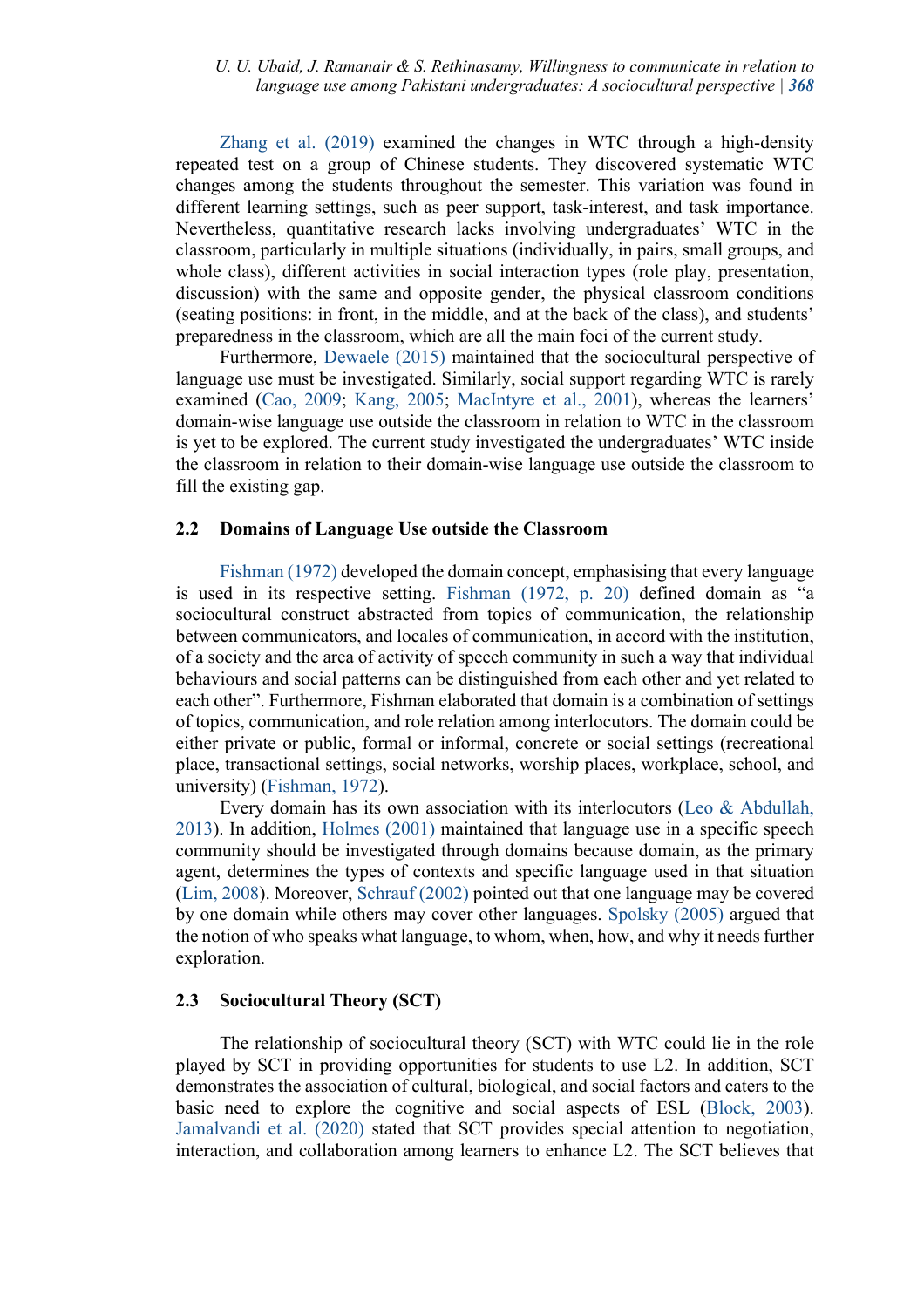Zhang et al. (2019) examined the changes in WTC through a high-density repeated test on a group of Chinese students. They discovered systematic WTC changes among the students throughout the semester. This variation was found in different learning settings, such as peer support, task-interest, and task importance. Nevertheless, quantitative research lacks involving undergraduates' WTC in the classroom, particularly in multiple situations (individually, in pairs, small groups, and whole class), different activities in social interaction types (role play, presentation, discussion) with the same and opposite gender, the physical classroom conditions (seating positions: in front, in the middle, and at the back of the class), and students' preparedness in the classroom, which are all the main foci of the current study.

Furthermore, Dewaele (2015) maintained that the sociocultural perspective of language use must be investigated. Similarly, social support regarding WTC is rarely examined (Cao, 2009; Kang, 2005; MacIntyre et al., 2001), whereas the learners' domain-wise language use outside the classroom in relation to WTC in the classroom is yet to be explored. The current study investigated the undergraduates' WTC inside the classroom in relation to their domain-wise language use outside the classroom to fill the existing gap.

## **2.2 Domains of Language Use outside the Classroom**

Fishman (1972) developed the domain concept, emphasising that every language is used in its respective setting. Fishman (1972, p. 20) defined domain as "a sociocultural construct abstracted from topics of communication, the relationship between communicators, and locales of communication, in accord with the institution, of a society and the area of activity of speech community in such a way that individual behaviours and social patterns can be distinguished from each other and yet related to each other". Furthermore, Fishman elaborated that domain is a combination of settings of topics, communication, and role relation among interlocutors. The domain could be either private or public, formal or informal, concrete or social settings (recreational place, transactional settings, social networks, worship places, workplace, school, and university) (Fishman, 1972).

Every domain has its own association with its interlocutors (Leo & Abdullah, 2013). In addition, Holmes (2001) maintained that language use in a specific speech community should be investigated through domains because domain, as the primary agent, determines the types of contexts and specific language used in that situation (Lim, 2008). Moreover, Schrauf (2002) pointed out that one language may be covered by one domain while others may cover other languages. Spolsky (2005) argued that the notion of who speaks what language, to whom, when, how, and why it needs further exploration.

## **2.3 Sociocultural Theory (SCT)**

The relationship of sociocultural theory (SCT) with WTC could lie in the role played by SCT in providing opportunities for students to use L2. In addition, SCT demonstrates the association of cultural, biological, and social factors and caters to the basic need to explore the cognitive and social aspects of ESL (Block, 2003). Jamalvandi et al. (2020) stated that SCT provides special attention to negotiation, interaction, and collaboration among learners to enhance L2. The SCT believes that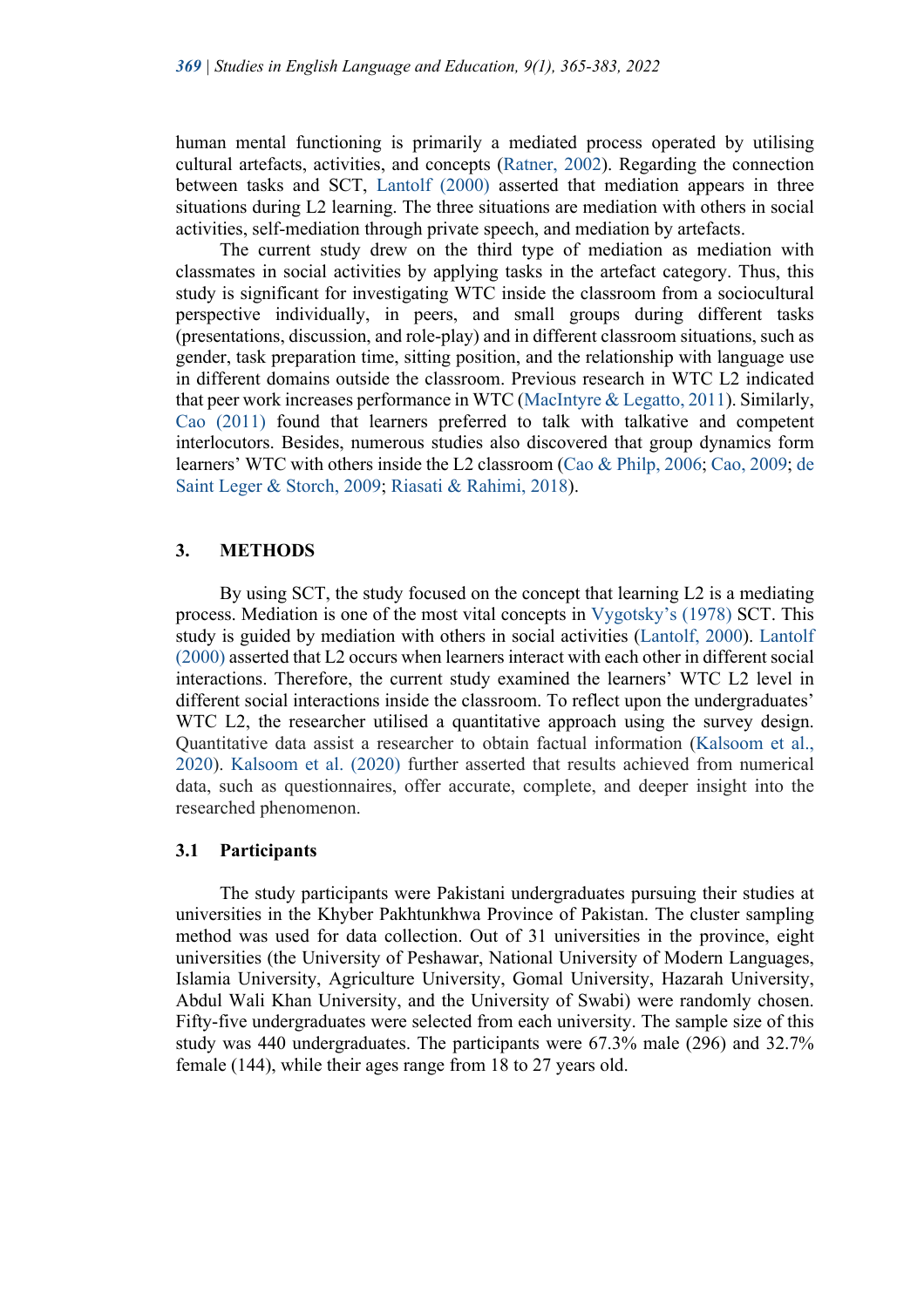human mental functioning is primarily a mediated process operated by utilising cultural artefacts, activities, and concepts (Ratner, 2002). Regarding the connection between tasks and SCT, Lantolf (2000) asserted that mediation appears in three situations during L2 learning. The three situations are mediation with others in social activities, self-mediation through private speech, and mediation by artefacts.

The current study drew on the third type of mediation as mediation with classmates in social activities by applying tasks in the artefact category. Thus, this study is significant for investigating WTC inside the classroom from a sociocultural perspective individually, in peers, and small groups during different tasks (presentations, discussion, and role-play) and in different classroom situations, such as gender, task preparation time, sitting position, and the relationship with language use in different domains outside the classroom. Previous research in WTC L2 indicated that peer work increases performance in WTC (MacIntyre & Legatto, 2011). Similarly, Cao (2011) found that learners preferred to talk with talkative and competent interlocutors. Besides, numerous studies also discovered that group dynamics form learners' WTC with others inside the L2 classroom (Cao & Philp, 2006; Cao, 2009; de Saint Leger & Storch, 2009; Riasati & Rahimi, 2018).

## **3. METHODS**

By using SCT, the study focused on the concept that learning L2 is a mediating process. Mediation is one of the most vital concepts in Vygotsky's (1978) SCT. This study is guided by mediation with others in social activities (Lantolf, 2000). Lantolf (2000) asserted that L2 occurs when learners interact with each other in different social interactions. Therefore, the current study examined the learners' WTC L2 level in different social interactions inside the classroom. To reflect upon the undergraduates' WTC L2, the researcher utilised a quantitative approach using the survey design. Quantitative data assist a researcher to obtain factual information (Kalsoom et al., 2020). Kalsoom et al. (2020) further asserted that results achieved from numerical data, such as questionnaires, offer accurate, complete, and deeper insight into the researched phenomenon.

#### **3.1 Participants**

The study participants were Pakistani undergraduates pursuing their studies at universities in the Khyber Pakhtunkhwa Province of Pakistan. The cluster sampling method was used for data collection. Out of 31 universities in the province, eight universities (the University of Peshawar, National University of Modern Languages, Islamia University, Agriculture University, Gomal University, Hazarah University, Abdul Wali Khan University, and the University of Swabi) were randomly chosen. Fifty-five undergraduates were selected from each university. The sample size of this study was 440 undergraduates. The participants were 67.3% male (296) and 32.7% female (144), while their ages range from 18 to 27 years old.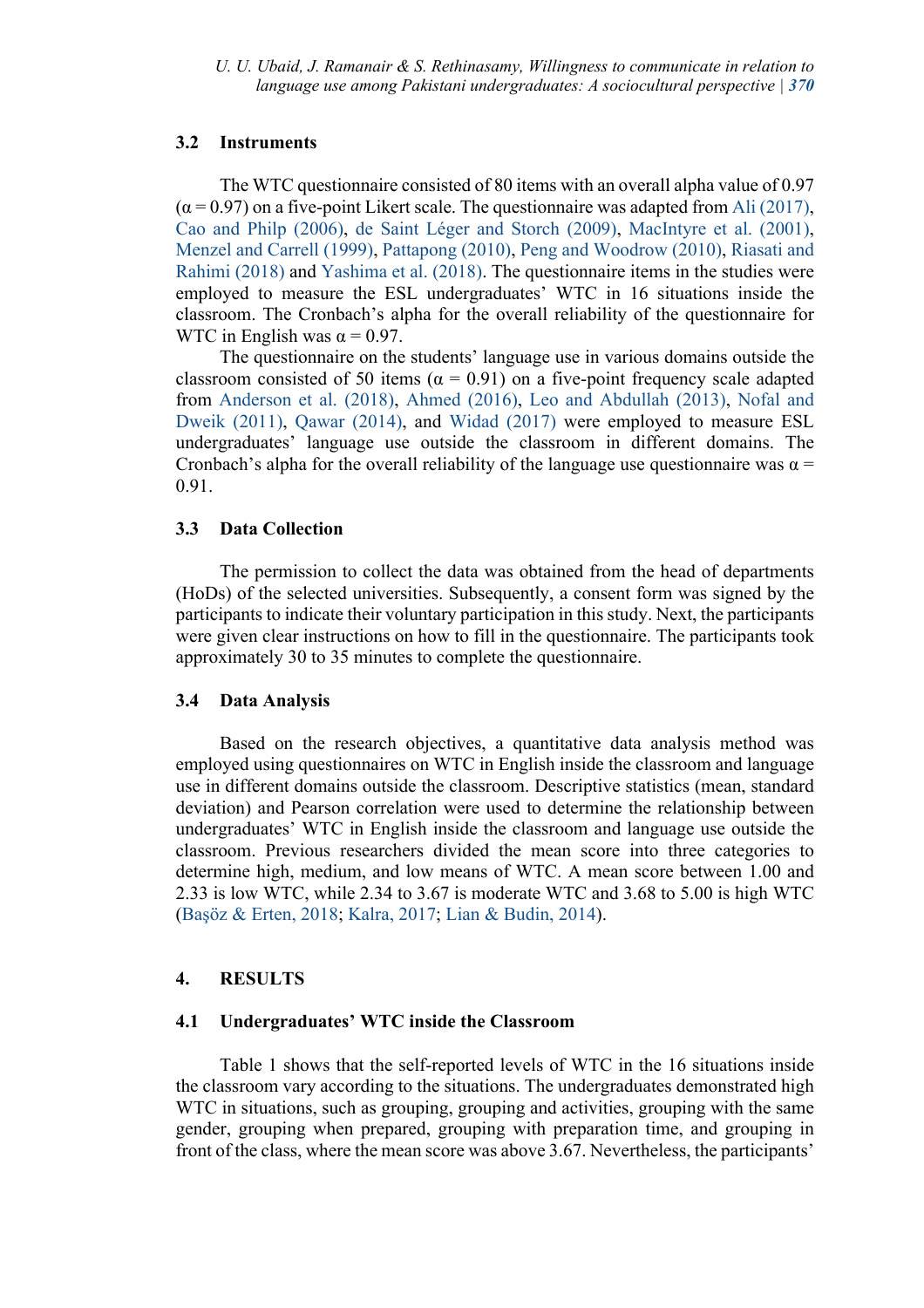## **3.2 Instruments**

The WTC questionnaire consisted of 80 items with an overall alpha value of 0.97  $(\alpha = 0.97)$  on a five-point Likert scale. The questionnaire was adapted from Ali (2017), Cao and Philp (2006), de Saint Léger and Storch (2009), MacIntyre et al. (2001), Menzel and Carrell (1999), Pattapong (2010), Peng and Woodrow (2010), Riasati and Rahimi (2018) and Yashima et al. (2018). The questionnaire items in the studies were employed to measure the ESL undergraduates' WTC in 16 situations inside the classroom. The Cronbach's alpha for the overall reliability of the questionnaire for WTC in English was  $\alpha = 0.97$ .

The questionnaire on the students' language use in various domains outside the classroom consisted of 50 items ( $\alpha = 0.91$ ) on a five-point frequency scale adapted from Anderson et al. (2018), Ahmed (2016), Leo and Abdullah (2013), Nofal and Dweik (2011), Qawar (2014), and Widad (2017) were employed to measure ESL undergraduates' language use outside the classroom in different domains. The Cronbach's alpha for the overall reliability of the language use questionnaire was  $\alpha$  = 0.91.

## **3.3 Data Collection**

The permission to collect the data was obtained from the head of departments (HoDs) of the selected universities. Subsequently, a consent form was signed by the participants to indicate their voluntary participation in this study. Next, the participants were given clear instructions on how to fill in the questionnaire. The participants took approximately 30 to 35 minutes to complete the questionnaire.

## **3.4 Data Analysis**

Based on the research objectives, a quantitative data analysis method was employed using questionnaires on WTC in English inside the classroom and language use in different domains outside the classroom. Descriptive statistics (mean, standard deviation) and Pearson correlation were used to determine the relationship between undergraduates' WTC in English inside the classroom and language use outside the classroom. Previous researchers divided the mean score into three categories to determine high, medium, and low means of WTC. A mean score between 1.00 and 2.33 is low WTC, while 2.34 to 3.67 is moderate WTC and 3.68 to 5.00 is high WTC (Başöz & Erten, 2018; Kalra, 2017; Lian & Budin, 2014).

## **4. RESULTS**

#### **4.1 Undergraduates' WTC inside the Classroom**

Table 1 shows that the self-reported levels of WTC in the 16 situations inside the classroom vary according to the situations. The undergraduates demonstrated high WTC in situations, such as grouping, grouping and activities, grouping with the same gender, grouping when prepared, grouping with preparation time, and grouping in front of the class, where the mean score was above 3.67. Nevertheless, the participants'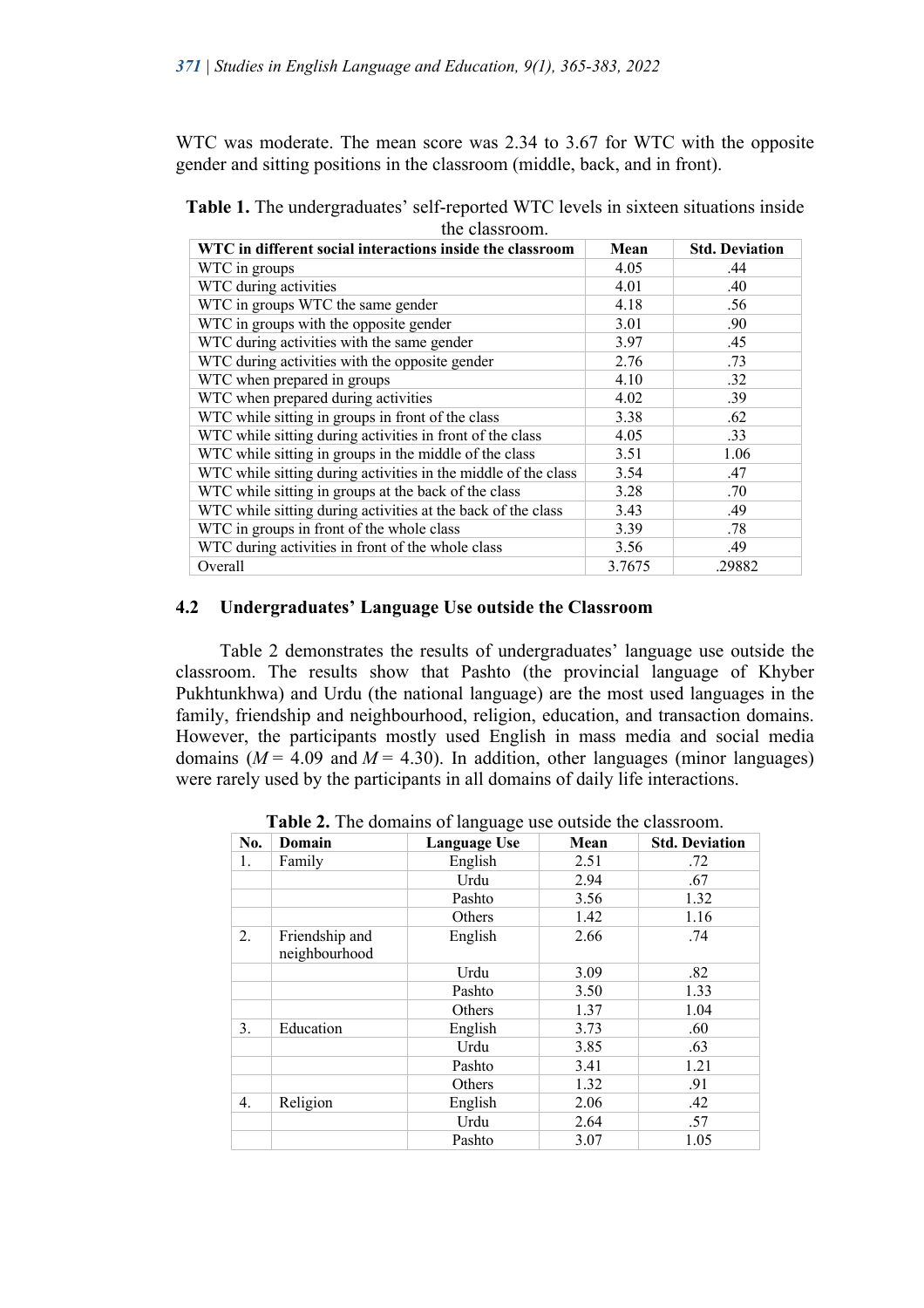WTC was moderate. The mean score was 2.34 to 3.67 for WTC with the opposite gender and sitting positions in the classroom (middle, back, and in front).

|                | <b>Table 1.</b> The undergraduates' self-reported WTC levels in sixteen situations inside |  |  |  |  |  |
|----------------|-------------------------------------------------------------------------------------------|--|--|--|--|--|
| the classroom. |                                                                                           |  |  |  |  |  |

| WTC in different social interactions inside the classroom      | Mean   | <b>Std. Deviation</b> |
|----------------------------------------------------------------|--------|-----------------------|
| WTC in groups                                                  | 4.05   | .44                   |
| WTC during activities                                          | 4.01   | .40                   |
| WTC in groups WTC the same gender                              | 4.18   | .56                   |
| WTC in groups with the opposite gender                         | 3.01   | .90                   |
| WTC during activities with the same gender                     | 3.97   | .45                   |
| WTC during activities with the opposite gender                 | 2.76   | .73                   |
| WTC when prepared in groups                                    | 4.10   | .32                   |
| WTC when prepared during activities                            | 4.02   | .39                   |
| WTC while sitting in groups in front of the class              | 3.38   | .62                   |
| WTC while sitting during activities in front of the class      | 4.05   | .33                   |
| WTC while sitting in groups in the middle of the class         | 3.51   | 1.06                  |
| WTC while sitting during activities in the middle of the class | 3.54   | .47                   |
| WTC while sitting in groups at the back of the class           | 3.28   | .70                   |
| WTC while sitting during activities at the back of the class   | 3.43   | .49                   |
| WTC in groups in front of the whole class                      | 3.39   | .78                   |
| WTC during activities in front of the whole class              | 3.56   | .49                   |
| Overall                                                        | 3.7675 | .29882                |

# **4.2 Undergraduates' Language Use outside the Classroom**

Table 2 demonstrates the results of undergraduates' language use outside the classroom. The results show that Pashto (the provincial language of Khyber Pukhtunkhwa) and Urdu (the national language) are the most used languages in the family, friendship and neighbourhood, religion, education, and transaction domains. However, the participants mostly used English in mass media and social media domains  $(M = 4.09$  and  $M = 4.30$ ). In addition, other languages (minor languages) were rarely used by the participants in all domains of daily life interactions.

| No. | Domain                          | ັ<br><b>Language Use</b> | Mean | <b>Std. Deviation</b> |
|-----|---------------------------------|--------------------------|------|-----------------------|
| 1.  | Family                          | English                  | 2.51 | .72                   |
|     |                                 | Urdu                     | 2.94 | .67                   |
|     |                                 | Pashto                   | 3.56 | 1.32                  |
|     |                                 | Others                   | 1.42 | 1.16                  |
| 2.  | Friendship and<br>neighbourhood | English                  | 2.66 | .74                   |
|     |                                 | Urdu                     | 3.09 | .82                   |
|     |                                 | Pashto                   | 3.50 | 1.33                  |
|     |                                 | Others                   | 1.37 | 1.04                  |
| 3.  | Education                       | English                  | 3.73 | .60                   |
|     |                                 | Urdu                     | 3.85 | .63                   |
|     |                                 | Pashto                   | 3.41 | 1.21                  |
|     |                                 | Others                   | 1.32 | .91                   |
| 4.  | Religion                        | English                  | 2.06 | .42                   |
|     |                                 | Urdu                     | 2.64 | .57                   |
|     |                                 | Pashto                   | 3.07 | 1.05                  |

**Table 2.** The domains of language use outside the classroom.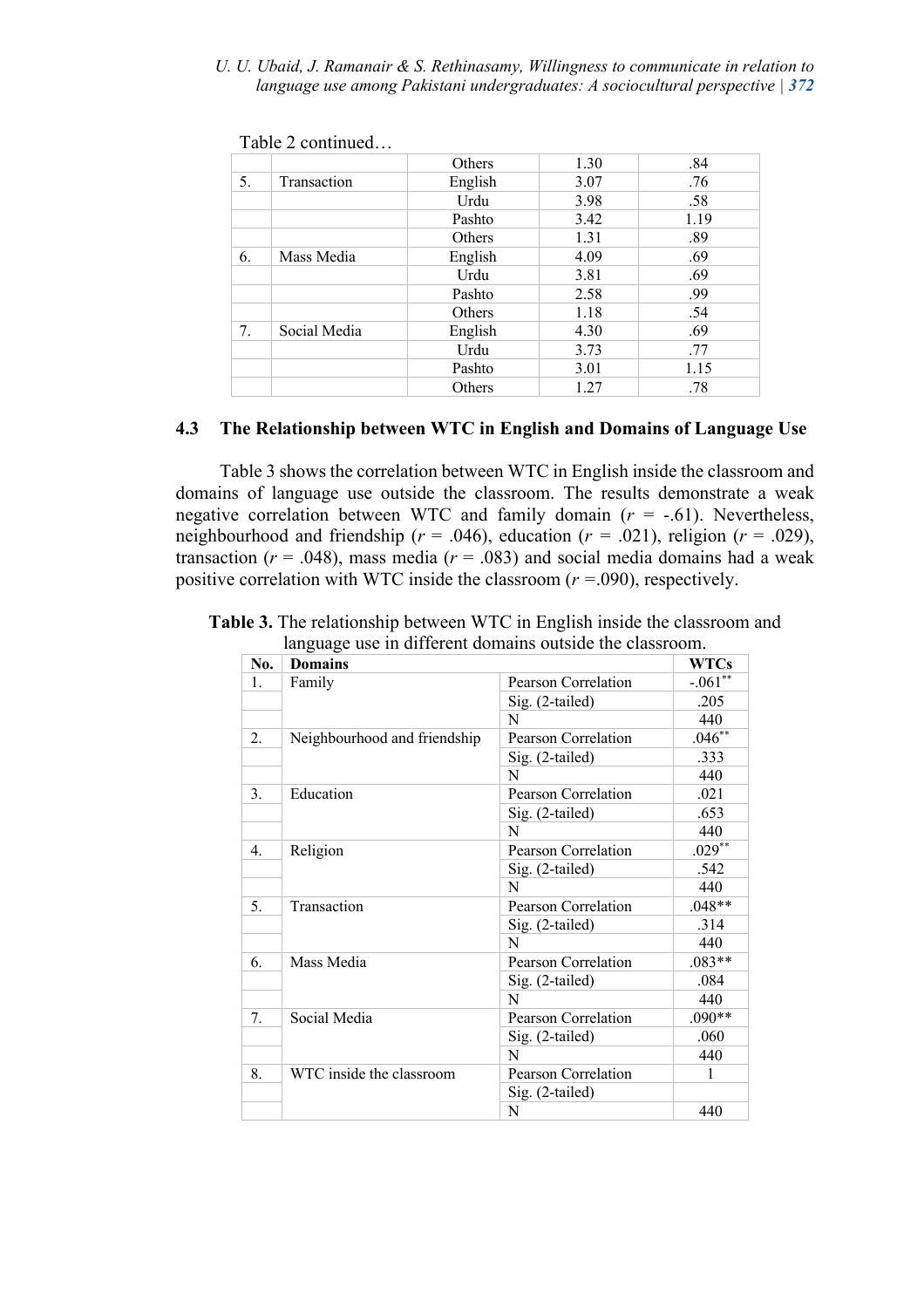#### *U. U. Ubaid, J. Ramanair & S. Rethinasamy, Willingness to communicate in relation to language use among Pakistani undergraduates: A sociocultural perspective | 372*

|    |                    | Others  | 1.30 | .84  |
|----|--------------------|---------|------|------|
| 5. | <b>Transaction</b> | English | 3.07 | .76  |
|    |                    | Urdu    | 3.98 | .58  |
|    |                    | Pashto  | 3.42 | 1.19 |
|    |                    | Others  | 1.31 | .89  |
| 6. | Mass Media         | English | 4.09 | .69  |
|    |                    | Urdu    | 3.81 | .69  |
|    |                    | Pashto  | 2.58 | .99  |
|    |                    | Others  | 1.18 | .54  |
| 7. | Social Media       | English | 4.30 | .69  |
|    |                    | Urdu    | 3.73 | .77  |
|    |                    | Pashto  | 3.01 | 1.15 |
|    |                    | Others  | 1.27 | .78  |

Table 2 continued…

# **4.3 The Relationship between WTC in English and Domains of Language Use**

Table 3 shows the correlation between WTC in English inside the classroom and domains of language use outside the classroom. The results demonstrate a weak negative correlation between WTC and family domain  $(r = -.61)$ . Nevertheless, neighbourhood and friendship ( $r = .046$ ), education ( $r = .021$ ), religion ( $r = .029$ ), transaction ( $r = .048$ ), mass media ( $r = .083$ ) and social media domains had a weak positive correlation with WTC inside the classroom (*r =*.090), respectively.

| No.              | <b>Domains</b>               |                     | <b>WTCs</b> |
|------------------|------------------------------|---------------------|-------------|
| 1.               | Family                       | Pearson Correlation | $-.061**$   |
|                  |                              | Sig. (2-tailed)     | .205        |
|                  |                              | N                   | 440         |
| 2.               | Neighbourhood and friendship | Pearson Correlation | $.046**$    |
|                  |                              | Sig. (2-tailed)     | .333        |
|                  |                              | N                   | 440         |
| 3.               | Education                    | Pearson Correlation | .021        |
|                  |                              | Sig. (2-tailed)     | .653        |
|                  |                              | N                   | 440         |
| $\overline{4}$ . | Religion                     | Pearson Correlation | $.029**$    |
|                  |                              | $Sig. (2-tailed)$   | .542        |
|                  |                              | N                   | 440         |
| 5.               | Transaction                  | Pearson Correlation | $.048**$    |
|                  |                              | Sig. (2-tailed)     | .314        |
|                  |                              | N                   | 440         |
| 6.               | Mass Media                   | Pearson Correlation | $.083**$    |
|                  |                              | Sig. (2-tailed)     | .084        |
|                  |                              | N                   | 440         |
| 7.               | Social Media                 | Pearson Correlation | $.090**$    |
|                  |                              | Sig. (2-tailed)     | .060        |
|                  |                              | N                   | 440         |
| 8.               | WTC inside the classroom     | Pearson Correlation | 1           |
|                  |                              | $Sig. (2-tailed)$   |             |
|                  |                              | N                   | 440         |

**Table 3.** The relationship between WTC in English inside the classroom and language use in different domains outside the classroom.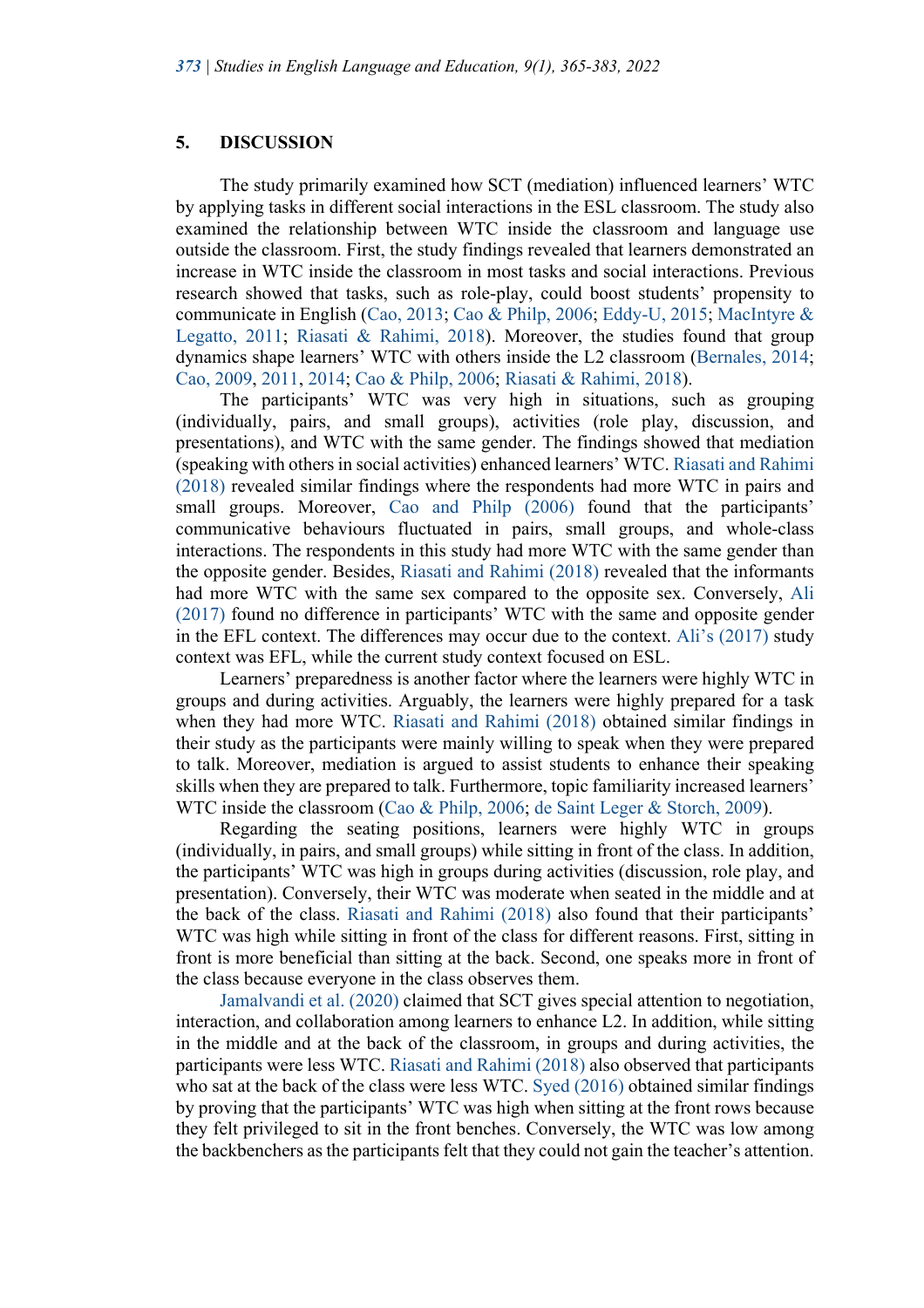### **5. DISCUSSION**

The study primarily examined how SCT (mediation) influenced learners' WTC by applying tasks in different social interactions in the ESL classroom. The study also examined the relationship between WTC inside the classroom and language use outside the classroom. First, the study findings revealed that learners demonstrated an increase in WTC inside the classroom in most tasks and social interactions. Previous research showed that tasks, such as role-play, could boost students' propensity to communicate in English (Cao, 2013; Cao & Philp, 2006; Eddy-U, 2015; MacIntyre & Legatto, 2011; Riasati & Rahimi, 2018). Moreover, the studies found that group dynamics shape learners' WTC with others inside the L2 classroom (Bernales, 2014; Cao, 2009, 2011, 2014; Cao & Philp, 2006; Riasati & Rahimi, 2018).

The participants' WTC was very high in situations, such as grouping (individually, pairs, and small groups), activities (role play, discussion, and presentations), and WTC with the same gender. The findings showed that mediation (speaking with others in social activities) enhanced learners' WTC. Riasati and Rahimi (2018) revealed similar findings where the respondents had more WTC in pairs and small groups. Moreover, Cao and Philp (2006) found that the participants' communicative behaviours fluctuated in pairs, small groups, and whole-class interactions. The respondents in this study had more WTC with the same gender than the opposite gender. Besides, Riasati and Rahimi (2018) revealed that the informants had more WTC with the same sex compared to the opposite sex. Conversely, Ali (2017) found no difference in participants' WTC with the same and opposite gender in the EFL context. The differences may occur due to the context. Ali's (2017) study context was EFL, while the current study context focused on ESL.

Learners' preparedness is another factor where the learners were highly WTC in groups and during activities. Arguably, the learners were highly prepared for a task when they had more WTC. Riasati and Rahimi (2018) obtained similar findings in their study as the participants were mainly willing to speak when they were prepared to talk. Moreover, mediation is argued to assist students to enhance their speaking skills when they are prepared to talk. Furthermore, topic familiarity increased learners' WTC inside the classroom (Cao & Philp, 2006; de Saint Leger & Storch, 2009).

Regarding the seating positions, learners were highly WTC in groups (individually, in pairs, and small groups) while sitting in front of the class. In addition, the participants' WTC was high in groups during activities (discussion, role play, and presentation). Conversely, their WTC was moderate when seated in the middle and at the back of the class. Riasati and Rahimi (2018) also found that their participants' WTC was high while sitting in front of the class for different reasons. First, sitting in front is more beneficial than sitting at the back. Second, one speaks more in front of the class because everyone in the class observes them.

Jamalvandi et al. (2020) claimed that SCT gives special attention to negotiation, interaction, and collaboration among learners to enhance L2. In addition, while sitting in the middle and at the back of the classroom, in groups and during activities, the participants were less WTC. Riasati and Rahimi (2018) also observed that participants who sat at the back of the class were less WTC. Syed (2016) obtained similar findings by proving that the participants' WTC was high when sitting at the front rows because they felt privileged to sit in the front benches. Conversely, the WTC was low among the backbenchers as the participants felt that they could not gain the teacher's attention.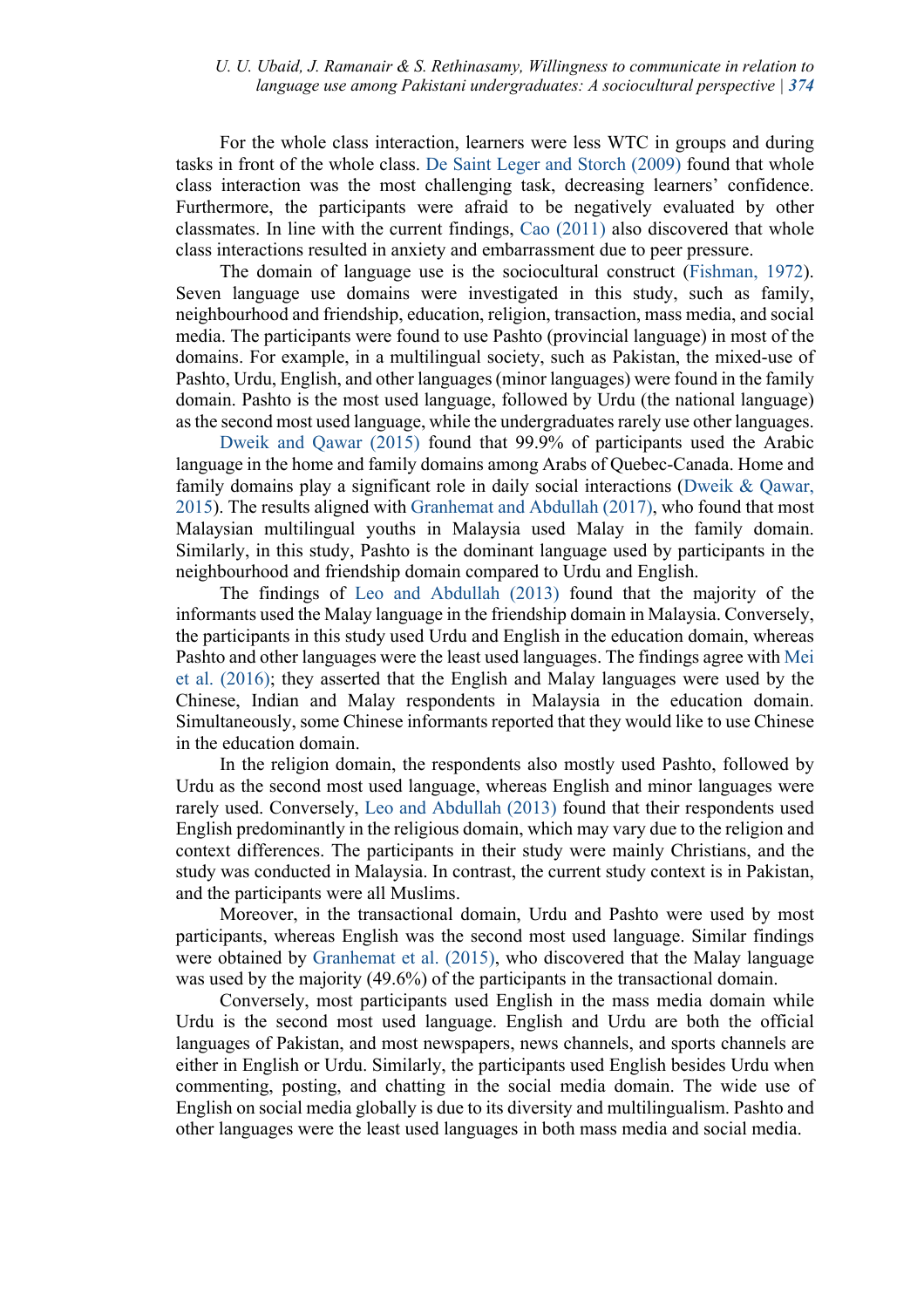## *U. U. Ubaid, J. Ramanair & S. Rethinasamy, Willingness to communicate in relation to language use among Pakistani undergraduates: A sociocultural perspective | 374*

For the whole class interaction, learners were less WTC in groups and during tasks in front of the whole class. De Saint Leger and Storch (2009) found that whole class interaction was the most challenging task, decreasing learners' confidence. Furthermore, the participants were afraid to be negatively evaluated by other classmates. In line with the current findings, Cao (2011) also discovered that whole class interactions resulted in anxiety and embarrassment due to peer pressure.

The domain of language use is the sociocultural construct (Fishman, 1972). Seven language use domains were investigated in this study, such as family, neighbourhood and friendship, education, religion, transaction, mass media, and social media. The participants were found to use Pashto (provincial language) in most of the domains. For example, in a multilingual society, such as Pakistan, the mixed-use of Pashto, Urdu, English, and other languages (minor languages) were found in the family domain. Pashto is the most used language, followed by Urdu (the national language) as the second most used language, while the undergraduates rarely use other languages.

Dweik and Qawar (2015) found that 99.9% of participants used the Arabic language in the home and family domains among Arabs of Quebec-Canada. Home and family domains play a significant role in daily social interactions (Dweik & Qawar, 2015). The results aligned with Granhemat and Abdullah (2017), who found that most Malaysian multilingual youths in Malaysia used Malay in the family domain. Similarly, in this study, Pashto is the dominant language used by participants in the neighbourhood and friendship domain compared to Urdu and English.

The findings of Leo and Abdullah (2013) found that the majority of the informants used the Malay language in the friendship domain in Malaysia. Conversely, the participants in this study used Urdu and English in the education domain, whereas Pashto and other languages were the least used languages. The findings agree with Mei et al. (2016); they asserted that the English and Malay languages were used by the Chinese, Indian and Malay respondents in Malaysia in the education domain. Simultaneously, some Chinese informants reported that they would like to use Chinese in the education domain.

In the religion domain, the respondents also mostly used Pashto, followed by Urdu as the second most used language, whereas English and minor languages were rarely used. Conversely, Leo and Abdullah (2013) found that their respondents used English predominantly in the religious domain, which may vary due to the religion and context differences. The participants in their study were mainly Christians, and the study was conducted in Malaysia. In contrast, the current study context is in Pakistan, and the participants were all Muslims.

Moreover, in the transactional domain, Urdu and Pashto were used by most participants, whereas English was the second most used language. Similar findings were obtained by Granhemat et al. (2015), who discovered that the Malay language was used by the majority (49.6%) of the participants in the transactional domain.

Conversely, most participants used English in the mass media domain while Urdu is the second most used language. English and Urdu are both the official languages of Pakistan, and most newspapers, news channels, and sports channels are either in English or Urdu. Similarly, the participants used English besides Urdu when commenting, posting, and chatting in the social media domain. The wide use of English on social media globally is due to its diversity and multilingualism. Pashto and other languages were the least used languages in both mass media and social media.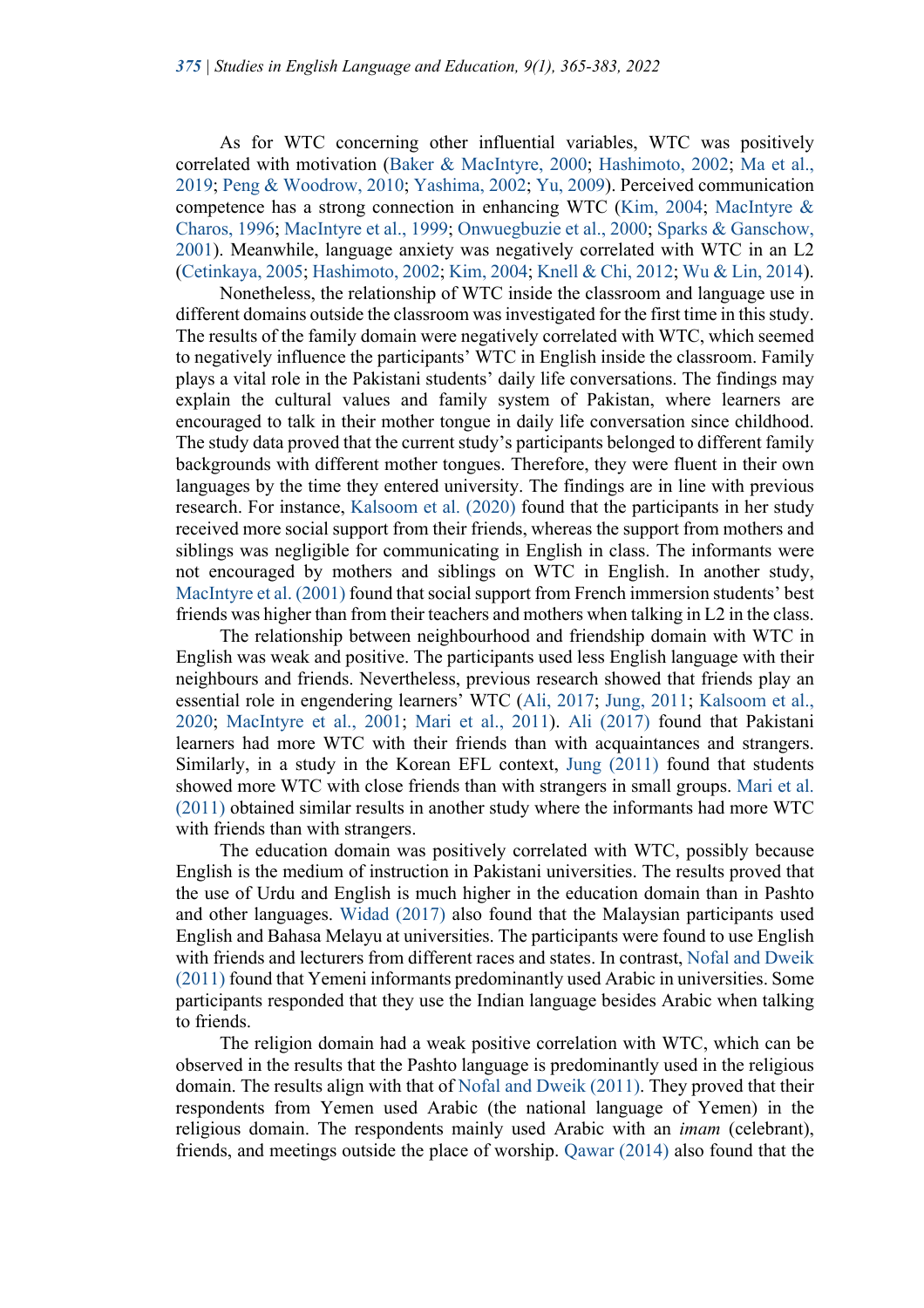As for WTC concerning other influential variables, WTC was positively correlated with motivation (Baker & MacIntyre, 2000; Hashimoto, 2002; Ma et al., 2019; Peng & Woodrow, 2010; Yashima, 2002; Yu, 2009). Perceived communication competence has a strong connection in enhancing WTC (Kim, 2004; MacIntyre & Charos, 1996; MacIntyre et al., 1999; Onwuegbuzie et al., 2000; Sparks & Ganschow, 2001). Meanwhile, language anxiety was negatively correlated with WTC in an L2 (Cetinkaya, 2005; Hashimoto, 2002; Kim, 2004; Knell & Chi, 2012; Wu & Lin, 2014).

Nonetheless, the relationship of WTC inside the classroom and language use in different domains outside the classroom was investigated for the first time in this study. The results of the family domain were negatively correlated with WTC, which seemed to negatively influence the participants' WTC in English inside the classroom. Family plays a vital role in the Pakistani students' daily life conversations. The findings may explain the cultural values and family system of Pakistan, where learners are encouraged to talk in their mother tongue in daily life conversation since childhood. The study data proved that the current study's participants belonged to different family backgrounds with different mother tongues. Therefore, they were fluent in their own languages by the time they entered university. The findings are in line with previous research. For instance, Kalsoom et al. (2020) found that the participants in her study received more social support from their friends, whereas the support from mothers and siblings was negligible for communicating in English in class. The informants were not encouraged by mothers and siblings on WTC in English. In another study, MacIntyre et al. (2001) found that social support from French immersion students' best friends was higher than from their teachers and mothers when talking in L2 in the class.

The relationship between neighbourhood and friendship domain with WTC in English was weak and positive. The participants used less English language with their neighbours and friends. Nevertheless, previous research showed that friends play an essential role in engendering learners' WTC (Ali, 2017; Jung, 2011; Kalsoom et al., 2020; MacIntyre et al., 2001; Mari et al., 2011). Ali (2017) found that Pakistani learners had more WTC with their friends than with acquaintances and strangers. Similarly, in a study in the Korean EFL context, Jung (2011) found that students showed more WTC with close friends than with strangers in small groups. Mari et al. (2011) obtained similar results in another study where the informants had more WTC with friends than with strangers.

The education domain was positively correlated with WTC, possibly because English is the medium of instruction in Pakistani universities. The results proved that the use of Urdu and English is much higher in the education domain than in Pashto and other languages. Widad (2017) also found that the Malaysian participants used English and Bahasa Melayu at universities. The participants were found to use English with friends and lecturers from different races and states. In contrast, Nofal and Dweik (2011) found that Yemeni informants predominantly used Arabic in universities. Some participants responded that they use the Indian language besides Arabic when talking to friends.

The religion domain had a weak positive correlation with WTC, which can be observed in the results that the Pashto language is predominantly used in the religious domain. The results align with that of Nofal and Dweik (2011). They proved that their respondents from Yemen used Arabic (the national language of Yemen) in the religious domain. The respondents mainly used Arabic with an *imam* (celebrant), friends, and meetings outside the place of worship. Qawar (2014) also found that the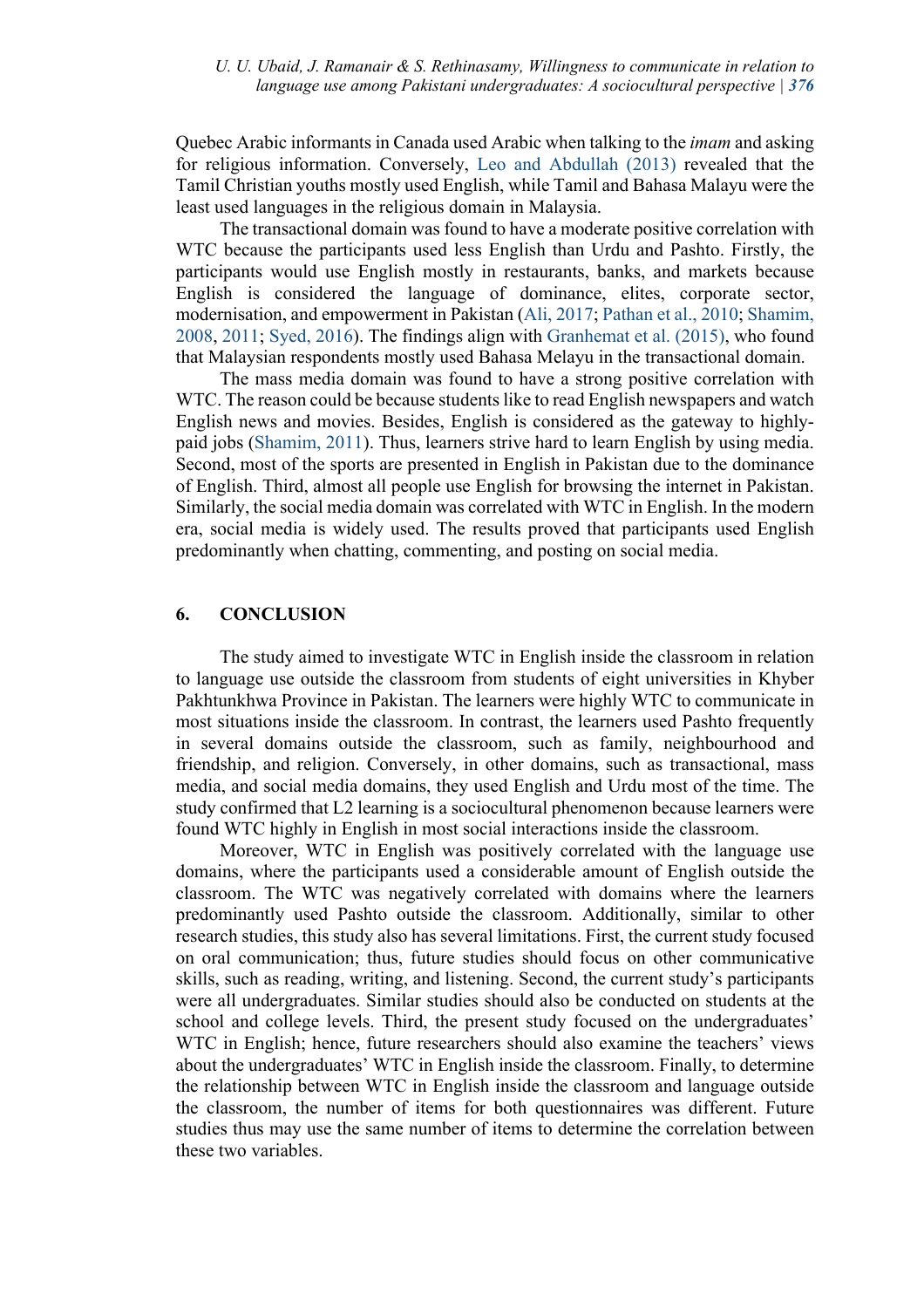Quebec Arabic informants in Canada used Arabic when talking to the *imam* and asking for religious information. Conversely, Leo and Abdullah (2013) revealed that the Tamil Christian youths mostly used English, while Tamil and Bahasa Malayu were the least used languages in the religious domain in Malaysia.

The transactional domain was found to have a moderate positive correlation with WTC because the participants used less English than Urdu and Pashto. Firstly, the participants would use English mostly in restaurants, banks, and markets because English is considered the language of dominance, elites, corporate sector, modernisation, and empowerment in Pakistan (Ali, 2017; Pathan et al., 2010; Shamim, 2008, 2011; Syed, 2016). The findings align with Granhemat et al. (2015), who found that Malaysian respondents mostly used Bahasa Melayu in the transactional domain.

The mass media domain was found to have a strong positive correlation with WTC. The reason could be because students like to read English newspapers and watch English news and movies. Besides, English is considered as the gateway to highlypaid jobs (Shamim, 2011). Thus, learners strive hard to learn English by using media. Second, most of the sports are presented in English in Pakistan due to the dominance of English. Third, almost all people use English for browsing the internet in Pakistan. Similarly, the social media domain was correlated with WTC in English. In the modern era, social media is widely used. The results proved that participants used English predominantly when chatting, commenting, and posting on social media.

#### **6. CONCLUSION**

The study aimed to investigate WTC in English inside the classroom in relation to language use outside the classroom from students of eight universities in Khyber Pakhtunkhwa Province in Pakistan. The learners were highly WTC to communicate in most situations inside the classroom. In contrast, the learners used Pashto frequently in several domains outside the classroom, such as family, neighbourhood and friendship, and religion. Conversely, in other domains, such as transactional, mass media, and social media domains, they used English and Urdu most of the time. The study confirmed that L2 learning is a sociocultural phenomenon because learners were found WTC highly in English in most social interactions inside the classroom.

Moreover, WTC in English was positively correlated with the language use domains, where the participants used a considerable amount of English outside the classroom. The WTC was negatively correlated with domains where the learners predominantly used Pashto outside the classroom. Additionally, similar to other research studies, this study also has several limitations. First, the current study focused on oral communication; thus, future studies should focus on other communicative skills, such as reading, writing, and listening. Second, the current study's participants were all undergraduates. Similar studies should also be conducted on students at the school and college levels. Third, the present study focused on the undergraduates' WTC in English; hence, future researchers should also examine the teachers' views about the undergraduates' WTC in English inside the classroom. Finally, to determine the relationship between WTC in English inside the classroom and language outside the classroom, the number of items for both questionnaires was different. Future studies thus may use the same number of items to determine the correlation between these two variables.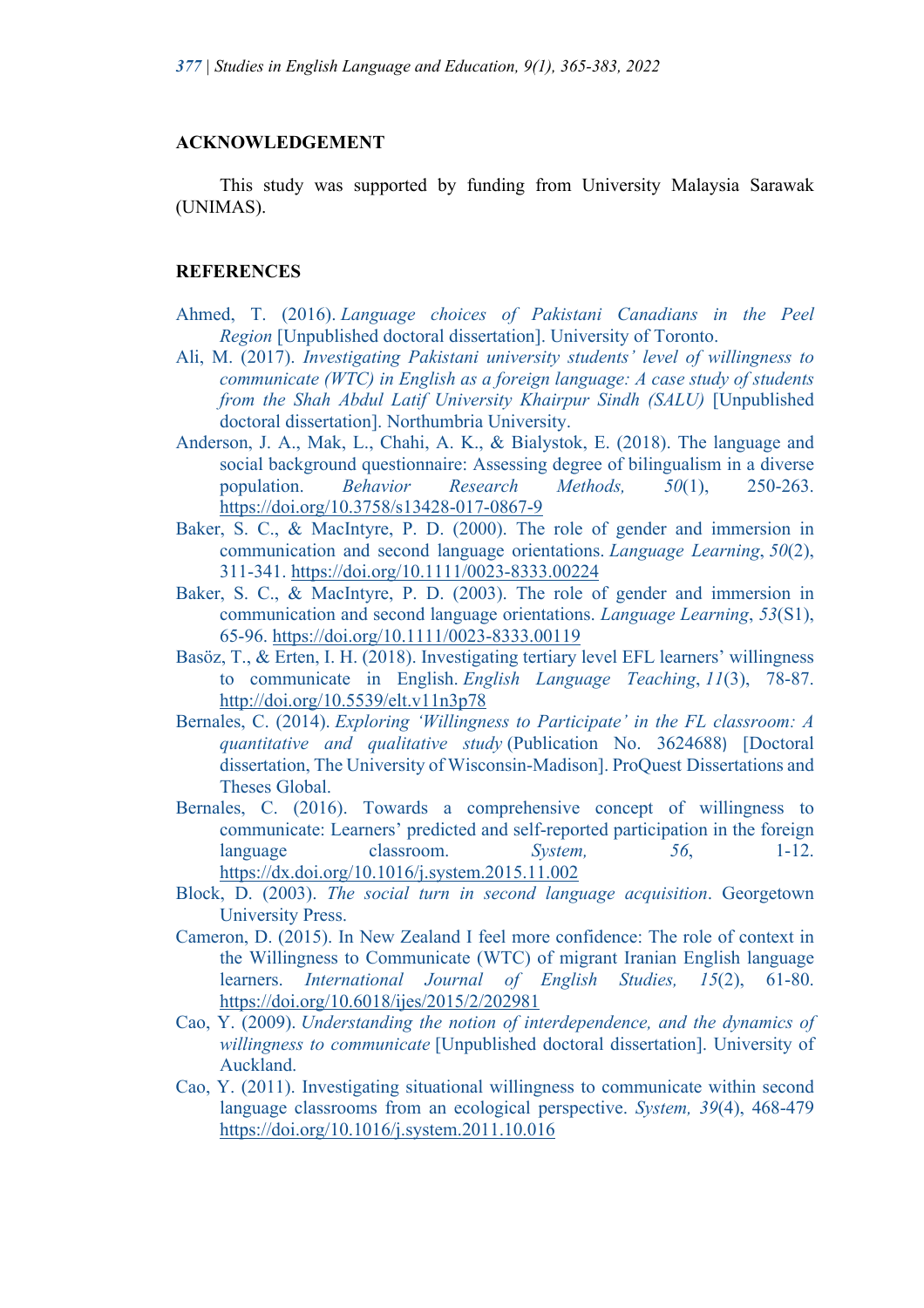## **ACKNOWLEDGEMENT**

This study was supported by funding from University Malaysia Sarawak (UNIMAS).

## **REFERENCES**

- Ahmed, T. (2016). *Language choices of Pakistani Canadians in the Peel Region* [Unpublished doctoral dissertation]. University of Toronto.
- Ali, M. (2017). *Investigating Pakistani university students' level of willingness to communicate (WTC) in English as a foreign language: A case study of students from the Shah Abdul Latif University Khairpur Sindh (SALU)* [Unpublished doctoral dissertation]. Northumbria University.
- Anderson, J. A., Mak, L., Chahi, A. K., & Bialystok, E. (2018). The language and social background questionnaire: Assessing degree of bilingualism in a diverse population. *Behavior Research Methods, 50*(1), 250-263. https://doi.org/10.3758/s13428-017-0867-9
- Baker, S. C., & MacIntyre, P. D. (2000). The role of gender and immersion in communication and second language orientations. *Language Learning*, *50*(2), 311-341. https://doi.org/10.1111/0023-8333.00224
- Baker, S. C., & MacIntyre, P. D. (2003). The role of gender and immersion in communication and second language orientations. *Language Learning*, *53*(S1), 65-96. https://doi.org/10.1111/0023-8333.00119
- Basöz, T., & Erten, I. H. (2018). Investigating tertiary level EFL learners' willingness to communicate in English. *English Language Teaching*, *11*(3), 78-87. http://doi.org/10.5539/elt.v11n3p78
- Bernales, C. (2014). *Exploring 'Willingness to Participate' in the FL classroom: A quantitative and qualitative study* (Publication No. 3624688) [Doctoral dissertation, The University of Wisconsin-Madison]. ProQuest Dissertations and Theses Global.
- Bernales, C. (2016). Towards a comprehensive concept of willingness to communicate: Learners' predicted and self-reported participation in the foreign language classroom. *System*, 56, 1-12. https://dx.doi.org/10.1016/j.system.2015.11.002
- Block, D. (2003). *The social turn in second language acquisition*. Georgetown University Press.
- Cameron, D. (2015). In New Zealand I feel more confidence: The role of context in the Willingness to Communicate (WTC) of migrant Iranian English language learners. *International Journal of English Studies, 15*(2), 61-80. https://doi.org/10.6018/ijes/2015/2/202981
- Cao, Y. (2009). *Understanding the notion of interdependence, and the dynamics of willingness to communicate* [Unpublished doctoral dissertation]. University of Auckland.
- Cao, Y. (2011). Investigating situational willingness to communicate within second language classrooms from an ecological perspective. *System, 39*(4), 468-479 https://doi.org/10.1016/j.system.2011.10.016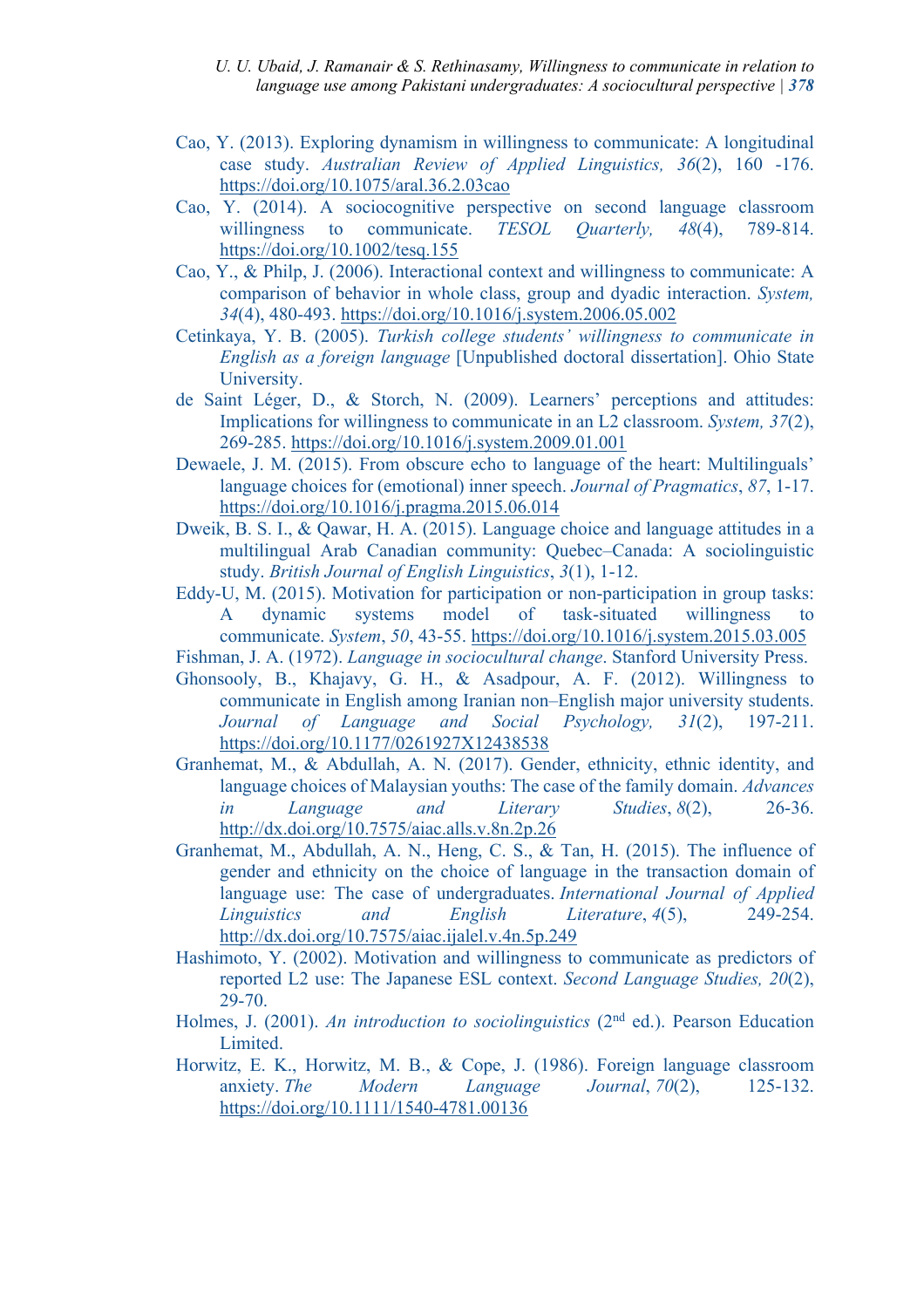- *U. U. Ubaid, J. Ramanair & S. Rethinasamy, Willingness to communicate in relation to language use among Pakistani undergraduates: A sociocultural perspective | 378*
- Cao, Y. (2013). Exploring dynamism in willingness to communicate: A longitudinal case study. *Australian Review of Applied Linguistics, 36*(2), 160 -176. https://doi.org/10.1075/aral.36.2.03cao
- Cao, Y. (2014). A sociocognitive perspective on second language classroom willingness to communicate. *TESOL Quarterly, 48*(4), 789-814. https://doi.org/10.1002/tesq.155
- Cao, Y., & Philp, J. (2006). Interactional context and willingness to communicate: A comparison of behavior in whole class, group and dyadic interaction. *System, 34*(4), 480-493. https://doi.org/10.1016/j.system.2006.05.002
- Cetinkaya, Y. B. (2005). *Turkish college students' willingness to communicate in English as a foreign language* [Unpublished doctoral dissertation]. Ohio State University.
- de Saint Léger, D., & Storch, N. (2009). Learners' perceptions and attitudes: Implications for willingness to communicate in an L2 classroom. *System, 37*(2), 269-285. https://doi.org/10.1016/j.system.2009.01.001
- Dewaele, J. M. (2015). From obscure echo to language of the heart: Multilinguals' language choices for (emotional) inner speech. *Journal of Pragmatics*, *87*, 1-17. https://doi.org/10.1016/j.pragma.2015.06.014
- Dweik, B. S. I., & Qawar, H. A. (2015). Language choice and language attitudes in a multilingual Arab Canadian community: Quebec–Canada: A sociolinguistic study. *British Journal of English Linguistics*, *3*(1), 1-12.
- Eddy-U, M. (2015). Motivation for participation or non-participation in group tasks: A dynamic systems model of task-situated willingness to communicate. *System*, *50*, 43-55. https://doi.org/10.1016/j.system.2015.03.005
- Fishman, J. A. (1972). *Language in sociocultural change*. Stanford University Press.
- Ghonsooly, B., Khajavy, G. H., & Asadpour, A. F. (2012). Willingness to communicate in English among Iranian non–English major university students. *Journal of Language and Social Psychology, 31*(2), 197-211. https://doi.org/10.1177/0261927X12438538
- Granhemat, M., & Abdullah, A. N. (2017). Gender, ethnicity, ethnic identity, and language choices of Malaysian youths: The case of the family domain. *Advances in Language and Literary Studies*, *8*(2), 26-36. http://dx.doi.org/10.7575/aiac.alls.v.8n.2p.26
- Granhemat, M., Abdullah, A. N., Heng, C. S., & Tan, H. (2015). The influence of gender and ethnicity on the choice of language in the transaction domain of language use: The case of undergraduates. *International Journal of Applied Linguistics and English Literature*, *4*(5), 249-254. http://dx.doi.org/10.7575/aiac.ijalel.v.4n.5p.249
- Hashimoto, Y. (2002). Motivation and willingness to communicate as predictors of reported L2 use: The Japanese ESL context. *Second Language Studies, 20*(2), 29-70.
- Holmes, J. (2001). *An introduction to sociolinguistics* (2<sup>nd</sup> ed.). Pearson Education Limited.
- Horwitz, E. K., Horwitz, M. B., & Cope, J. (1986). Foreign language classroom anxiety. *The Modern Language Journal*, *70*(2), 125-132. https://doi.org/10.1111/1540-4781.00136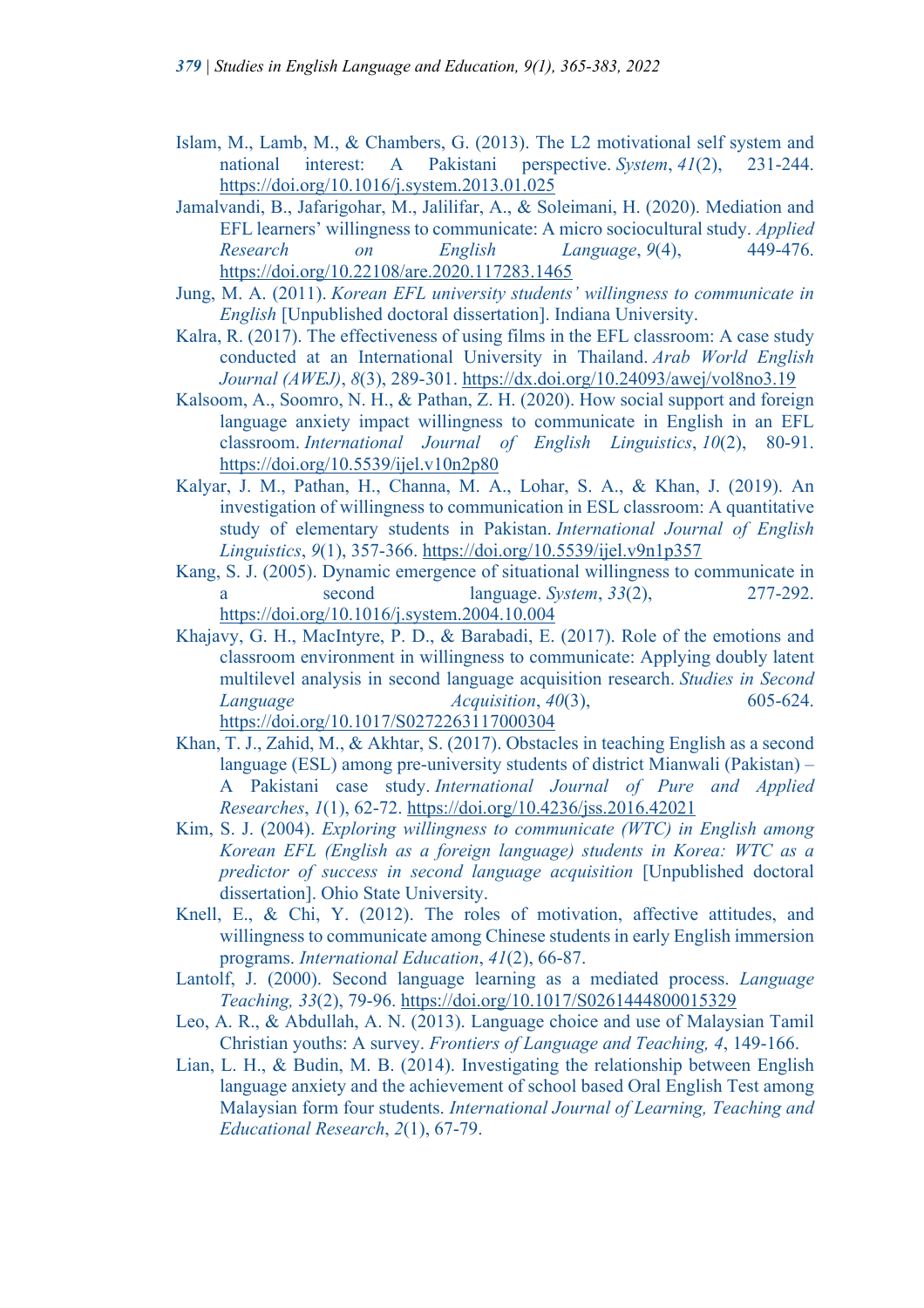- Islam, M., Lamb, M., & Chambers, G. (2013). The L2 motivational self system and national interest: A Pakistani perspective. *System*, *41*(2), 231-244. https://doi.org/10.1016/j.system.2013.01.025
- Jamalvandi, B., Jafarigohar, M., Jalilifar, A., & Soleimani, H. (2020). Mediation and EFL learners' willingness to communicate: A micro sociocultural study. *Applied Research on English Language*, *9*(4), 449-476. https://doi.org/10.22108/are.2020.117283.1465
- Jung, M. A. (2011). *Korean EFL university students' willingness to communicate in English* [Unpublished doctoral dissertation]. Indiana University.
- Kalra, R. (2017). The effectiveness of using films in the EFL classroom: A case study conducted at an International University in Thailand. *Arab World English Journal (AWEJ)*, *8*(3), 289-301. https://dx.doi.org/10.24093/awej/vol8no3.19
- Kalsoom, A., Soomro, N. H., & Pathan, Z. H. (2020). How social support and foreign language anxiety impact willingness to communicate in English in an EFL classroom. *International Journal of English Linguistics*, *10*(2), 80-91. https://doi.org/10.5539/ijel.v10n2p80
- Kalyar, J. M., Pathan, H., Channa, M. A., Lohar, S. A., & Khan, J. (2019). An investigation of willingness to communication in ESL classroom: A quantitative study of elementary students in Pakistan. *International Journal of English Linguistics*, *9*(1), 357-366. https://doi.org/10.5539/ijel.v9n1p357
- Kang, S. J. (2005). Dynamic emergence of situational willingness to communicate in a second language. *System*, *33*(2), 277-292. https://doi.org/10.1016/j.system.2004.10.004
- Khajavy, G. H., MacIntyre, P. D., & Barabadi, E. (2017). Role of the emotions and classroom environment in willingness to communicate: Applying doubly latent multilevel analysis in second language acquisition research. *Studies in Second Language Acquisition*, *40*(3), 605-624. https://doi.org/10.1017/S0272263117000304
- Khan, T. J., Zahid, M., & Akhtar, S. (2017). Obstacles in teaching English as a second language (ESL) among pre-university students of district Mianwali (Pakistan) – A Pakistani case study. *International Journal of Pure and Applied Researches*, *1*(1), 62-72. https://doi.org/10.4236/jss.2016.42021
- Kim, S. J. (2004). *Exploring willingness to communicate (WTC) in English among Korean EFL (English as a foreign language) students in Korea: WTC as a predictor of success in second language acquisition* [Unpublished doctoral dissertation]. Ohio State University.
- Knell, E., & Chi, Y. (2012). The roles of motivation, affective attitudes, and willingness to communicate among Chinese students in early English immersion programs. *International Education*, *41*(2), 66-87.
- Lantolf, J. (2000). Second language learning as a mediated process. *Language Teaching, 33*(2), 79-96. https://doi.org/10.1017/S0261444800015329
- Leo, A. R., & Abdullah, A. N. (2013). Language choice and use of Malaysian Tamil Christian youths: A survey. *Frontiers of Language and Teaching, 4*, 149-166.
- Lian, L. H., & Budin, M. B. (2014). Investigating the relationship between English language anxiety and the achievement of school based Oral English Test among Malaysian form four students. *International Journal of Learning, Teaching and Educational Research*, *2*(1), 67-79.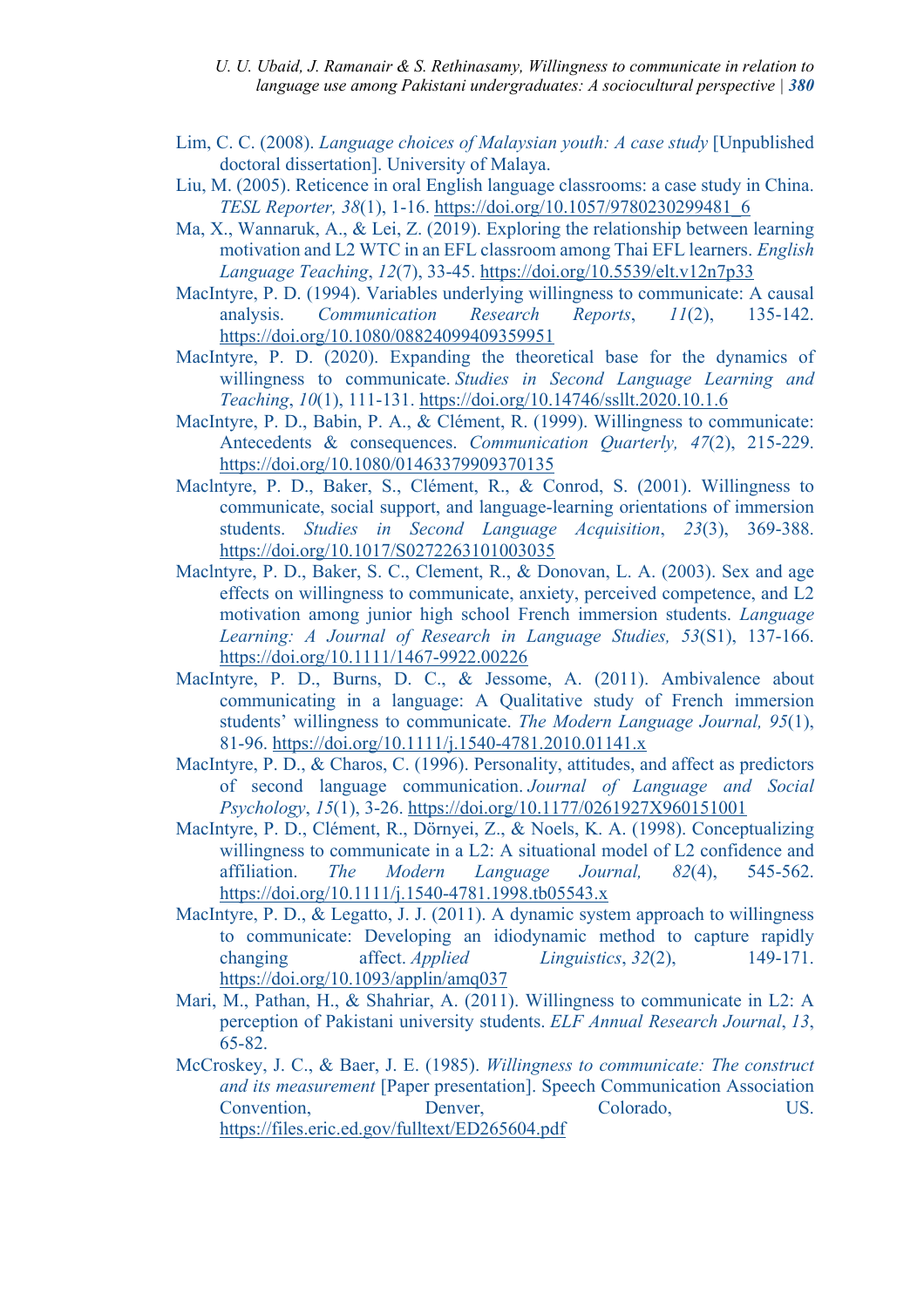#### *U. U. Ubaid, J. Ramanair & S. Rethinasamy, Willingness to communicate in relation to language use among Pakistani undergraduates: A sociocultural perspective | 380*

- Lim, C. C. (2008). *Language choices of Malaysian youth: A case study* [Unpublished doctoral dissertation]. University of Malaya.
- Liu, M. (2005). Reticence in oral English language classrooms: a case study in China. *TESL Reporter, 38*(1), 1-16. https://doi.org/10.1057/9780230299481\_6
- Ma, X., Wannaruk, A., & Lei, Z. (2019). Exploring the relationship between learning motivation and L2 WTC in an EFL classroom among Thai EFL learners. *English Language Teaching*, *12*(7), 33-45. https://doi.org/10.5539/elt.v12n7p33
- MacIntyre, P. D. (1994). Variables underlying willingness to communicate: A causal analysis. *Communication Research Reports*, *11*(2), 135-142. https://doi.org/10.1080/08824099409359951
- MacIntyre, P. D. (2020). Expanding the theoretical base for the dynamics of willingness to communicate. *Studies in Second Language Learning and Teaching*, *10*(1), 111-131. https://doi.org/10.14746/ssllt.2020.10.1.6
- MacIntyre, P. D., Babin, P. A., & Clément, R. (1999). Willingness to communicate: Antecedents & consequences. *Communication Quarterly, 47*(2), 215-229. https://doi.org/10.1080/01463379909370135
- Maclntyre, P. D., Baker, S., Clément, R., & Conrod, S. (2001). Willingness to communicate, social support, and language-learning orientations of immersion students. *Studies in Second Language Acquisition*, *23*(3), 369-388. https://doi.org/10.1017/S0272263101003035
- Maclntyre, P. D., Baker, S. C., Clement, R., & Donovan, L. A. (2003). Sex and age effects on willingness to communicate, anxiety, perceived competence, and L2 motivation among junior high school French immersion students. *Language Learning: A Journal of Research in Language Studies, 53*(S1), 137-166. https://doi.org/10.1111/1467-9922.00226
- MacIntyre, P. D., Burns, D. C., & Jessome, A. (2011). Ambivalence about communicating in a language: A Qualitative study of French immersion students' willingness to communicate. *The Modern Language Journal, 95*(1), 81-96. https://doi.org/10.1111/j.1540-4781.2010.01141.x
- MacIntyre, P. D., & Charos, C. (1996). Personality, attitudes, and affect as predictors of second language communication. *Journal of Language and Social Psychology*, *15*(1), 3-26. https://doi.org/10.1177/0261927X960151001
- MacIntyre, P. D., Clément, R., Dörnyei, Z., & Noels, K. A. (1998). Conceptualizing willingness to communicate in a L2: A situational model of L2 confidence and affiliation. *The Modern Language Journal, 82*(4), 545-562. https://doi.org/10.1111/j.1540-4781.1998.tb05543.x
- MacIntyre, P. D., & Legatto, J. J. (2011). A dynamic system approach to willingness to communicate: Developing an idiodynamic method to capture rapidly changing affect. *Applied Linguistics*, 32(2), 149-171. https://doi.org/10.1093/applin/amq037
- Mari, M., Pathan, H., & Shahriar, A. (2011). Willingness to communicate in L2: A perception of Pakistani university students. *ELF Annual Research Journal*, *13*, 65-82.
- McCroskey, J. C., & Baer, J. E. (1985). *Willingness to communicate: The construct and its measurement* [Paper presentation]. Speech Communication Association Convention, Denver, Colorado, US. https://files.eric.ed.gov/fulltext/ED265604.pdf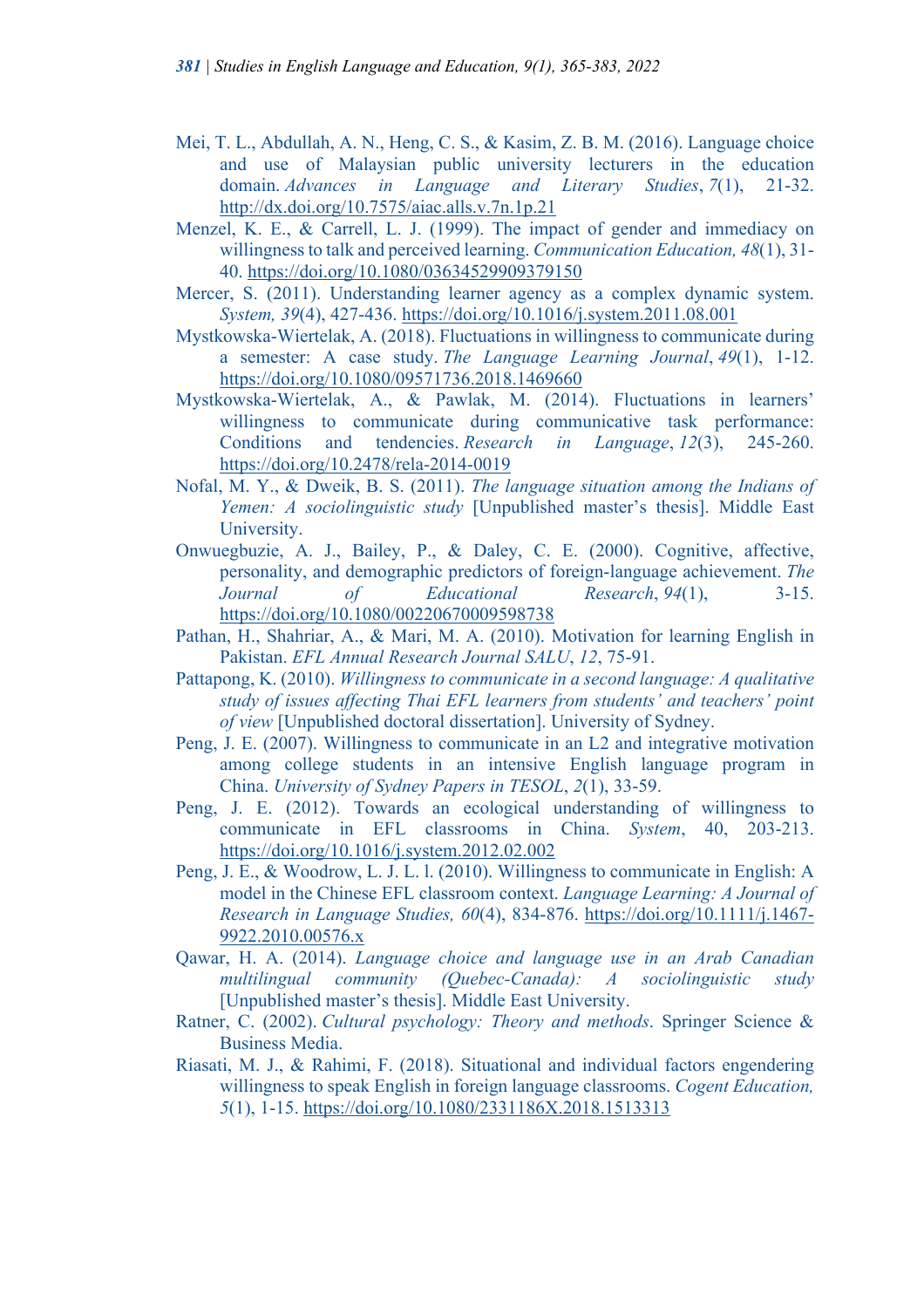- Mei, T. L., Abdullah, A. N., Heng, C. S., & Kasim, Z. B. M. (2016). Language choice and use of Malaysian public university lecturers in the education domain. *Advances in Language and Literary Studies*, *7*(1), 21-32. http://dx.doi.org/10.7575/aiac.alls.v.7n.1p.21
- Menzel, K. E., & Carrell, L. J. (1999). The impact of gender and immediacy on willingness to talk and perceived learning. *Communication Education, 48*(1), 31- 40. https://doi.org/10.1080/03634529909379150
- Mercer, S. (2011). Understanding learner agency as a complex dynamic system. *System, 39*(4), 427-436. https://doi.org/10.1016/j.system.2011.08.001
- Mystkowska-Wiertelak, A. (2018). Fluctuations in willingness to communicate during a semester: A case study. *The Language Learning Journal*, *49*(1), 1-12. https://doi.org/10.1080/09571736.2018.1469660
- Mystkowska-Wiertelak, A., & Pawlak, M. (2014). Fluctuations in learners' willingness to communicate during communicative task performance: Conditions and tendencies. *Research in Language*, *12*(3), 245-260. https://doi.org/10.2478/rela-2014-0019
- Nofal, M. Y., & Dweik, B. S. (2011). *The language situation among the Indians of Yemen: A sociolinguistic study* [Unpublished master's thesis]. Middle East University.
- Onwuegbuzie, A. J., Bailey, P., & Daley, C. E. (2000). Cognitive, affective, personality, and demographic predictors of foreign-language achievement. *The Journal of Educational Research*, *94*(1), 3-15. https://doi.org/10.1080/00220670009598738
- Pathan, H., Shahriar, A., & Mari, M. A. (2010). Motivation for learning English in Pakistan. *EFL Annual Research Journal SALU*, *12*, 75-91.
- Pattapong, K. (2010). *Willingness to communicate in a second language: A qualitative study of issues affecting Thai EFL learners from students' and teachers' point of view* [Unpublished doctoral dissertation]. University of Sydney.
- Peng, J. E. (2007). Willingness to communicate in an L2 and integrative motivation among college students in an intensive English language program in China. *University of Sydney Papers in TESOL*, *2*(1), 33-59.
- Peng, J. E. (2012). Towards an ecological understanding of willingness to communicate in EFL classrooms in China. *System*, 40, 203-213. https://doi.org/10.1016/j.system.2012.02.002
- Peng, J. E., & Woodrow, L. J. L. l. (2010). Willingness to communicate in English: A model in the Chinese EFL classroom context. *Language Learning: A Journal of Research in Language Studies, 60*(4), 834-876. https://doi.org/10.1111/j.1467- 9922.2010.00576.x
- Qawar, H. A. (2014). *Language choice and language use in an Arab Canadian multilingual community (Quebec-Canada): A sociolinguistic study*  [Unpublished master's thesis]. Middle East University.
- Ratner, C. (2002). *Cultural psychology: Theory and methods*. Springer Science & Business Media.
- Riasati, M. J., & Rahimi, F. (2018). Situational and individual factors engendering willingness to speak English in foreign language classrooms. *Cogent Education, 5*(1), 1-15. https://doi.org/10.1080/2331186X.2018.1513313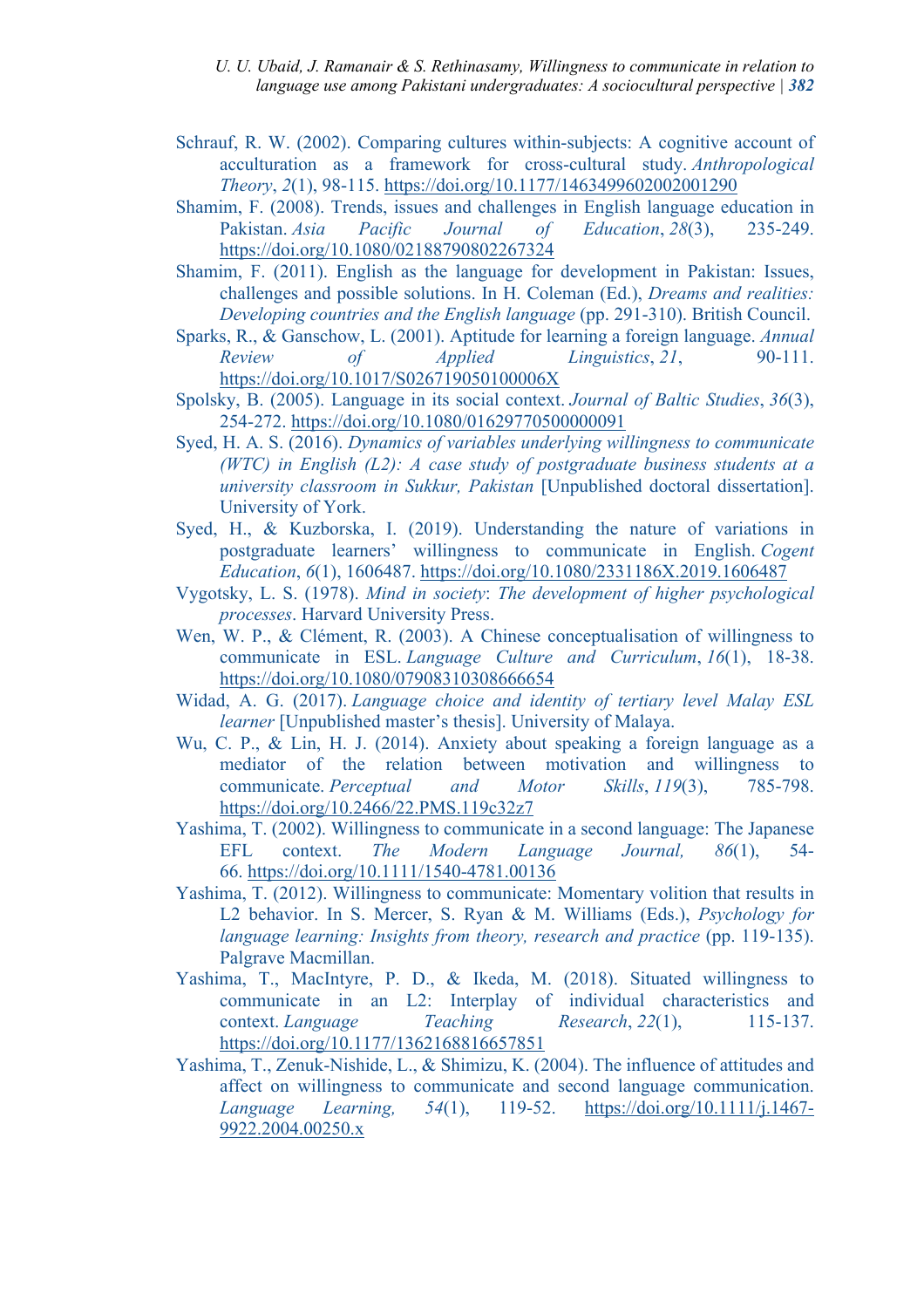*U. U. Ubaid, J. Ramanair & S. Rethinasamy, Willingness to communicate in relation to language use among Pakistani undergraduates: A sociocultural perspective | 382*

- Schrauf, R. W. (2002). Comparing cultures within-subjects: A cognitive account of acculturation as a framework for cross-cultural study. *Anthropological Theory*, *2*(1), 98-115. https://doi.org/10.1177/1463499602002001290
- Shamim, F. (2008). Trends, issues and challenges in English language education in Pakistan. *Asia Pacific Journal of Education*, *28*(3), 235-249. https://doi.org/10.1080/02188790802267324
- Shamim, F. (2011). English as the language for development in Pakistan: Issues, challenges and possible solutions. In H. Coleman (Ed.), *Dreams and realities: Developing countries and the English language* (pp. 291-310). British Council.
- Sparks, R., & Ganschow, L. (2001). Aptitude for learning a foreign language. *Annual Review of Applied Linguistics*, *21*, 90-111. https://doi.org/10.1017/S026719050100006X
- Spolsky, B. (2005). Language in its social context. *Journal of Baltic Studies*, *36*(3), 254-272. https://doi.org/10.1080/01629770500000091
- Syed, H. A. S. (2016). *Dynamics of variables underlying willingness to communicate (WTC) in English (L2): A case study of postgraduate business students at a university classroom in Sukkur, Pakistan* [Unpublished doctoral dissertation]. University of York.
- Syed, H., & Kuzborska, I. (2019). Understanding the nature of variations in postgraduate learners' willingness to communicate in English. *Cogent Education*, *6*(1), 1606487. https://doi.org/10.1080/2331186X.2019.1606487
- Vygotsky, L. S. (1978). *Mind in society*: *The development of higher psychological processes*. Harvard University Press.
- Wen, W. P., & Clément, R. (2003). A Chinese conceptualisation of willingness to communicate in ESL. *Language Culture and Curriculum*, *16*(1), 18-38. https://doi.org/10.1080/07908310308666654
- Widad, A. G. (2017). *Language choice and identity of tertiary level Malay ESL learner* [Unpublished master's thesis]. University of Malaya.
- Wu, C. P., & Lin, H. J. (2014). Anxiety about speaking a foreign language as a mediator of the relation between motivation and willingness to communicate. *Perceptual and Motor Skills*, *119*(3), 785-798. https://doi.org/10.2466/22.PMS.119c32z7
- Yashima, T. (2002). Willingness to communicate in a second language: The Japanese EFL context. *The Modern Language Journal, 86*(1), 54- 66. https://doi.org/10.1111/1540-4781.00136
- Yashima, T. (2012). Willingness to communicate: Momentary volition that results in L2 behavior. In S. Mercer, S. Ryan & M. Williams (Eds.), *Psychology for language learning: Insights from theory, research and practice (pp. 119-135).* Palgrave Macmillan.
- Yashima, T., MacIntyre, P. D., & Ikeda, M. (2018). Situated willingness to communicate in an L2: Interplay of individual characteristics and context. *Language Teaching Research*, 22(1), 115-137. https://doi.org/10.1177/1362168816657851
- Yashima, T., Zenuk-Nishide, L., & Shimizu, K. (2004). The influence of attitudes and affect on willingness to communicate and second language communication. *Language Learning, 54*(1), 119-52. https://doi.org/10.1111/j.1467- 9922.2004.00250.x